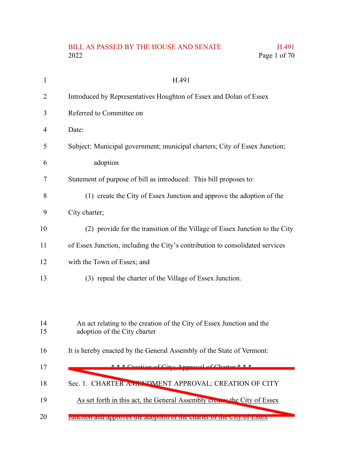# BILL AS PASSED BY THE HOUSE AND SENATE H.491 Page 1 of 70 Page 1 of 70

| $\mathbf{1}$ | H.491                                                                                                 |
|--------------|-------------------------------------------------------------------------------------------------------|
| 2            | Introduced by Representatives Houghton of Essex and Dolan of Essex                                    |
| 3            | Referred to Committee on                                                                              |
| 4            | Date:                                                                                                 |
| 5            | Subject: Municipal government; municipal charters; City of Essex Junction;                            |
| 6            | adoption                                                                                              |
| 7            | Statement of purpose of bill as introduced: This bill proposes to:                                    |
| 8            | (1) create the City of Essex Junction and approve the adoption of the                                 |
| 9            | City charter;                                                                                         |
| 10           | (2) provide for the transition of the Village of Essex Junction to the City                           |
| 11           | of Essex Junction, including the City's contribution to consolidated services                         |
| 12           | with the Town of Essex; and                                                                           |
| 13           | (3) repeal the charter of the Village of Essex Junction.                                              |
|              |                                                                                                       |
|              |                                                                                                       |
| 14<br>15     | An act relating to the creation of the City of Essex Junction and the<br>adoption of the City charter |
| 16           | It is hereby enacted by the General Assembly of the State of Vermont:                                 |
| 17           | $* * *$ Creation of City: Approval of Charton $* * *$                                                 |
| 18           | Sec. 1. CHARTER AIVEN DMENT APPROVAL; CREATION OF CITY                                                |
| 19           | As set forth in this act, the General Assembly creative the City of Essex                             |
| 20           |                                                                                                       |
|              | Junction and approves the adoption of the charter of the City of Essex                                |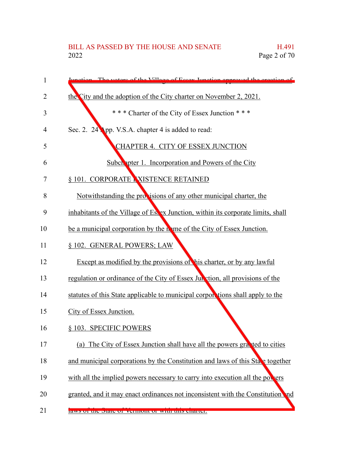# BILL AS PASSED BY THE HOUSE AND SENATE H.491<br>2022 Page 2 of 70 Page 2 of 70

| 1  | The verters of the Village of Essex Innetion enproved the creation of             |
|----|-----------------------------------------------------------------------------------|
| 2  | the City and the adoption of the City charter on November 2, 2021.                |
| 3  | *** Charter of the City of Essex Junction ***                                     |
| 4  | Sec. 2. 24 App. V.S.A. chapter 4 is added to read:                                |
| 5  | CHAPTER 4. CITY OF ESSEX JUNCTION                                                 |
| 6  | <b>Subch</b> pter 1. Incorporation and Powers of the City                         |
| 7  | § 101. CORPORATE NISTENCE RETAINED                                                |
| 8  | Notwithstanding the provisions of any other municipal charter, the                |
| 9  | inhabitants of the Village of Es. ex Junction, within its corporate limits, shall |
| 10 | be a municipal corporation by the mome of the City of Essex Junction.             |
| 11 | § 102. GENERAL POWERS; LAW                                                        |
| 12 | Except as modified by the provisions of his charter, or by any lawful             |
| 13 | regulation or ordinance of the City of Essex Jun vtion, all provisions of the     |
| 14 | statutes of this State applicable to municipal corporsions shall apply to the     |
| 15 | City of Essex Junction.                                                           |
| 16 | § 103. SPECIFIC POWERS                                                            |
| 17 | (a) The City of Essex Junction shall have all the powers grapted to cities        |
| 18 | and municipal corporations by the Constitution and laws of this State together    |
| 19 | with all the implied powers necessary to carry into execution all the powers      |
| 20 | granted, and it may enact ordinances not inconsistent with the Constitution and   |
| 21 | raws of the state of vehilon of with this enarter.                                |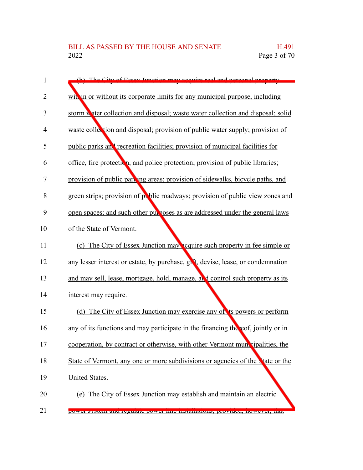| 1              | (b) The City of Essex Junction may acquire real and personal property                         |
|----------------|-----------------------------------------------------------------------------------------------|
| $\overline{2}$ | with in or without its corporate limits for any municipal purpose, including                  |
| 3              | storm water collection and disposal; waste water collection and disposal; solid               |
| 4              | waste collection and disposal; provision of public water supply; provision of                 |
| 5              | public parks and recreation facilities; provision of municipal facilities for                 |
| 6              | office, fire protection, and police protection; provision of public libraries;                |
| 7              | provision of public parking areas; provision of sidewalks, bicycle paths, and                 |
| 8              | green strips; provision of public roadways; provision of public view zones and                |
| 9              | open spaces; and such other purposes as are addressed under the general laws                  |
| 10             | of the State of Vermont.                                                                      |
| 11             | (c) The City of Essex Junction may equire such property in fee simple or                      |
| 12             | any lesser interest or estate, by purchase, gh <sup>e</sup> t, devise, lease, or condemnation |
| 13             | and may sell, lease, mortgage, hold, manage, and control such property as its                 |
| 14             | interest may require.                                                                         |
| 15             | (d) The City of Essex Junction may exercise any of its powers or perform                      |
| 16             | any of its functions and may participate in the financing the eof, jointly or in              |
| 17             | cooperation, by contract or otherwise, with other Vermont municipalities, the                 |
| 18             | State of Vermont, any one or more subdivisions or agencies of the vate or the                 |
| 19             | <b>United States.</b>                                                                         |
| 20             | (e) The City of Essex Junction may establish and maintain an electric                         |
| 21             | power system and regulate power nue instantations, provided, nowever, that                    |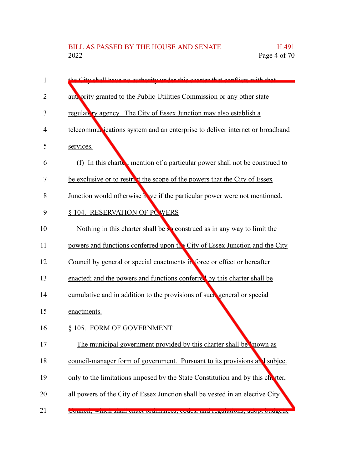| 1  | the City shall have no outhority under this charter that conflicts with that   |
|----|--------------------------------------------------------------------------------|
| 2  | authority granted to the Public Utilities Commission or any other state        |
| 3  | regulatory agency. The City of Essex Junction may also establish a             |
| 4  | telecommul ications system and an enterprise to deliver internet or broadband  |
| 5  | services.                                                                      |
| 6  | (f) In this charter, mention of a particular power shall not be construed to   |
| 7  | be exclusive or to restrict the scope of the powers that the City of Essex     |
| 8  | Junction would otherwise h ve if the particular power were not mentioned.      |
| 9  | § 104. RESERVATION OF PCWERS                                                   |
| 10 | Nothing in this charter shall be so construed as in any way to limit the       |
| 11 | powers and functions conferred upon the City of Essex Junction and the City    |
| 12 | Council by general or special enactments in force or effect or hereafter       |
| 13 | enacted; and the powers and functions conferred by this charter shall be       |
| 14 | cumulative and in addition to the provisions of such general or special        |
| 15 | enactments.                                                                    |
| 16 | § 105. FORM OF GOVERNMENT                                                      |
| 17 | The municipal government provided by this charter shall be known as            |
| 18 | council-manager form of government. Pursuant to its provisions and subject     |
| 19 | only to the limitations imposed by the State Constitution and by this charter, |
| 20 | all powers of the City of Essex Junction shall be vested in an elective City   |
| 21 | Council, which shall chact orthhances, coues, and regulations, adopt budgets,  |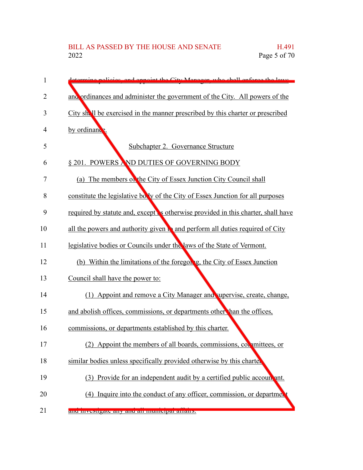| 1  | ermine policies, and appoint the City Menager, who shall enforce the laws         |
|----|-----------------------------------------------------------------------------------|
| 2  | and ordinances and administer the government of the City. All powers of the       |
| 3  | City shall be exercised in the manner prescribed by this charter or prescribed    |
| 4  | by ordinance                                                                      |
| 5  | Subchapter 2. Governance Structure                                                |
| 6  | § 201. POWERS AND DUTIES OF GOVERNING BODY                                        |
| 7  | (a) The members on the City of Essex Junction City Council shall                  |
| 8  | constitute the legislative bolly of the City of Essex Junction for all purposes   |
| 9  | required by statute and, except is otherwise provided in this charter, shall have |
| 10 | all the powers and authority given to and perform all duties required of City     |
| 11 | legislative bodies or Councils under the laws of the State of Vermont.            |
| 12 | (b) Within the limitations of the foregon g, the City of Essex Junction           |
| 13 | Council shall have the power to:                                                  |
| 14 | (1) Appoint and remove a City Manager and supervise, create, change,              |
| 15 | and abolish offices, commissions, or departments other than the offices,          |
| 16 | commissions, or departments established by this charter.                          |
| 17 | (2) Appoint the members of all boards, commissions, committees, or                |
| 18 | similar bodies unless specifically provided otherwise by this charter             |
| 19 | (3) Provide for an independent audit by a certified public account ant.           |
| 20 | (4) Inquire into the conduct of any officer, commission, or department            |
| 21 | anu mvesugate any anu an mumeiparanans.                                           |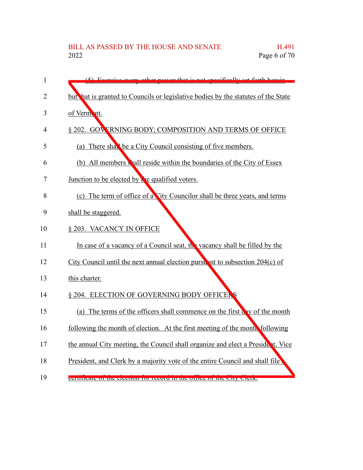| $\mathbf{1}$   | $(5)$ Exercise every other power that is not specifically set forth herein        |
|----------------|-----------------------------------------------------------------------------------|
| $\overline{2}$ | but hat is granted to Councils or legislative bodies by the statutes of the State |
| 3              | of Vermont.                                                                       |
| 4              | § 202. GOVERNING BODY; COMPOSITION AND TERMS OF OFFICE                            |
| 5              | (a) There shall be a City Council consisting of five members.                     |
| 6              | (b) All members shall reside within the boundaries of the City of Essex           |
| 7              | Junction to be elected by the qualified voters.                                   |
| 8              | (c) The term of office of a City Councilor shall be three years, and terms        |
| 9              | shall be staggered.                                                               |
| 10             | § 203. VACANCY IN OFFICE                                                          |
| 11             | In case of a vacancy of a Council seat, the vacancy shall be filled by the        |
| 12             | City Council until the next annual election purst in to subsection $204(c)$ of    |
| 13             | this charter.                                                                     |
| 14             | § 204. ELECTION OF GOVERNING BODY OFFICERS                                        |
| 15             | (a) The terms of the officers shall commence on the first cay of the month        |
| 16             | following the month of election. At the first meeting of the month following      |
| 17             | the annual City meeting, the Council shall organize and elect a President, Vice   |
| 18             | President, and Clerk by a majority vote of the entire Council and shall file      |
| 19             | centricate of the electron for record in the office of the City Clerk.            |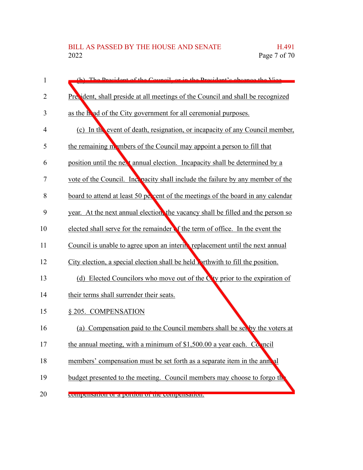| 1              | (b) The President of the Council or in the President's epsence the Vice                |
|----------------|----------------------------------------------------------------------------------------|
| $\overline{2}$ | Precident, shall preside at all meetings of the Council and shall be recognized        |
| 3              | as the head of the City government for all ceremonial purposes.                        |
| 4              | (c) In the event of death, resignation, or incapacity of any Council member,           |
| 5              | the remaining mometers of the Council may appoint a person to fill that                |
| 6              | position until the next annual election. Incapacity shall be determined by a           |
| 7              | vote of the Council. Include the failure by any member of the                          |
| 8              | board to attend at least 50 percent of the meetings of the board in any calendar       |
| 9              | year. At the next annual election, the vacancy shall be filled and the person so       |
| 10             | elected shall serve for the remainder of the term of office. In the event the          |
| 11             | Council is unable to agree upon an interm replacement until the next annual            |
| 12             | City election, a special election shall be held porthwith to fill the position.        |
| 13             | (d) Elected Councilors who move out of the C <sup>t</sup> y prior to the expiration of |
| 14             | their terms shall surrender their seats.                                               |
| 15             | § 205. COMPENSATION                                                                    |
| 16             | (a) Compensation paid to the Council members shall be seeply the voters at             |
| 17             | the annual meeting, with a minimum of \$1,500.00 a year each. Conneil                  |
| 18             | members' compensation must be set forth as a separate item in the anneal               |
| 19             | budget presented to the meeting. Council members may choose to forgo the               |
| 20             | compensation or a portion or the compensation.                                         |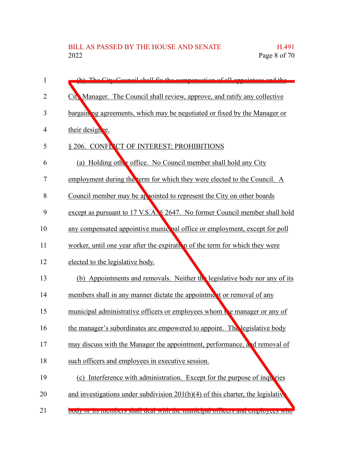| 1  | (b) The City Council shall fix the compensation of all appointess and the          |
|----|------------------------------------------------------------------------------------|
| 2  | City Manager. The Council shall review, approve, and ratify any collective         |
| 3  | bargaining agreements, which may be negotiated or fixed by the Manager or          |
| 4  | their designe.                                                                     |
| 5  | § 206. CONFLICT OF INTEREST; PROHIBITIONS                                          |
| 6  | (a) Holding other office. No Council member shall hold any City                    |
| 7  | employment during the term for which they were elected to the Council. A           |
| 8  | Council member may be appointed to represent the City on other boards              |
| 9  | except as pursuant to 17 V.S.A. § 2647. No former Council member shall hold        |
| 10 | any compensated appointive munic pal office or employment, except for poll         |
| 11 | worker, until one year after the expiration of the term for which they were        |
| 12 | elected to the legislative body.                                                   |
| 13 | (b) Appointments and removals. Neither the legislative body nor any of its         |
| 14 | members shall in any manner dictate the appointment or removal of any              |
| 15 | municipal administrative officers or employees whom the manager or any of          |
| 16 | the manager's subordinates are empowered to appoint. The legislative body          |
| 17 | may discuss with the Manager the appointment, performance, and removal of          |
| 18 | such officers and employees in executive session.                                  |
| 19 | (c) Interference with administration. Except for the purpose of inquiries          |
| 20 | and investigations under subdivision $201(b)(4)$ of this charter, the legislative  |
| 21 | <u>body or its memoers shan dear with the municipal officers and employees whe</u> |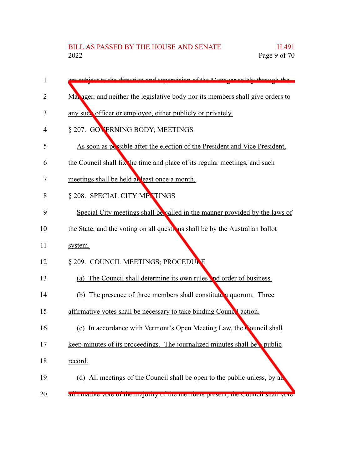| 1              | cubicet to the direction and cupervision of the Menager solely through the      |
|----------------|---------------------------------------------------------------------------------|
| $\overline{2}$ | Ma. ager, and neither the legislative body nor its members shall give orders to |
| 3              | any such officer or employee, either publicly or privately.                     |
| 4              | § 207. GOVERNING BODY; MEETINGS                                                 |
| 5              | As soon as possible after the election of the President and Vice President,     |
| 6              | the Council shall fix the time and place of its regular meetings, and such      |
| 7              | meetings shall be held at least once a month.                                   |
| 8              | § 208. SPECIAL CITY METINGS                                                     |
| 9              | Special City meetings shall be called in the manner provided by the laws of     |
| 10             | the State, and the voting on all questions shall be by the Australian ballot    |
| 11             | system.                                                                         |
| 12             | § 209. COUNCIL MEETINGS; PROCEDULE                                              |
| 13             | The Council shall determine its own rules and order of business.<br>(a)         |
| 14             | (b) The presence of three members shall constitute a quorum. Three              |
| 15             | affirmative votes shall be necessary to take binding Councel action.            |
| 16             | (c) In accordance with Vermont's Open Meeting Law, the Council shall            |
| 17             | keep minutes of its proceedings. The journalized minutes shall be public        |
| 18             | record.                                                                         |
| 19             | (d) All meetings of the Council shall be open to the public unless, by an       |
| 20             | annimative vote or the majority or the memoers present, the Council shari vote  |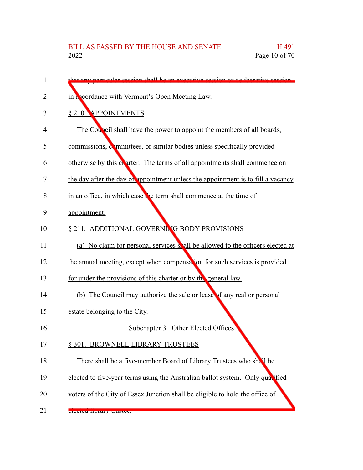| 1              | t env perticular session shall be an executive session or deliberative session   |
|----------------|----------------------------------------------------------------------------------|
| $\overline{2}$ | in a cordance with Vermont's Open Meeting Law.                                   |
| 3              | § 210. APPOINTMENTS                                                              |
| 4              | The Council shall have the power to appoint the members of all boards,           |
| 5              | commissions, committees, or similar bodies unless specifically provided          |
| 6              | otherwise by this charter. The terms of all appointments shall commence on       |
| 7              | the day after the day of appointment unless the appointment is to fill a vacancy |
| 8              | in an office, in which case the term shall commence at the time of               |
| 9              | appointment.                                                                     |
| 10             | § 211. ADDITIONAL GOVERNING BODY PROVISIONS                                      |
| 11             | (a) No claim for personal services shall be allowed to the officers elected at   |
| 12             | the annual meeting, except when compensation for such services is provided       |
| 13             | for under the provisions of this charter or by the general law.                  |
| 14             | (b) The Council may authorize the sale or lease of any real or personal          |
| 15             | estate belonging to the City.                                                    |
| 16             | Subchapter 3. Other Elected Offices                                              |
| 17             | § 301. BROWNELL LIBRARY TRUSTEES                                                 |
| 18             | There shall be a five-member Board of Library Trustees who shall be              |
| 19             | elected to five-year terms using the Australian ballot system. Only quartied     |
| 20             | voters of the City of Essex Junction shall be eligible to hold the office of     |
| 21             | ciceted morally trustee.                                                         |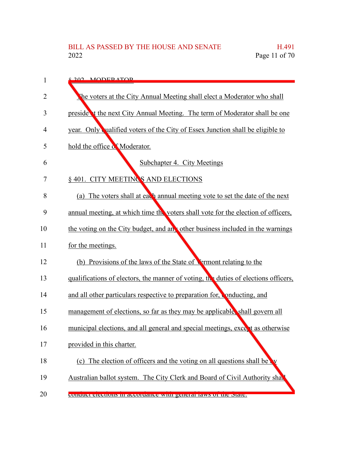| 1  | 8.202 MODER ATOR                                                                    |
|----|-------------------------------------------------------------------------------------|
| 2  | The voters at the City Annual Meeting shall elect a Moderator who shall             |
| 3  | preside t the next City Annual Meeting. The term of Moderator shall be one          |
| 4  | year. Only ualified voters of the City of Essex Junction shall be eligible to       |
| 5  | hold the office of Moderator.                                                       |
| 6  | <b>Subchapter 4. City Meetings</b>                                                  |
| 7  | § 401. CITY MEETINGS AND ELECTIONS                                                  |
| 8  | (a) The voters shall at each annual meeting vote to set the date of the next        |
| 9  | annual meeting, at which time the voters shall vote for the election of officers,   |
| 10 | the voting on the City budget, and any other business included in the warnings      |
| 11 | for the meetings.                                                                   |
| 12 | (b) Provisions of the laws of the State of Termont relating to the                  |
| 13 | qualifications of electors, the manner of voting, the duties of elections officers, |
| 14 | and all other particulars respective to preparation for, conducting, and            |
| 15 | management of elections, so far as they may be applicable, shall govern all         |
| 16 | municipal elections, and all general and special meetings, excent as otherwise      |
| 17 | provided in this charter.                                                           |
| 18 | (c) The election of officers and the voting on all questions shall be               |
| 19 | Australian ballot system. The City Clerk and Board of Civil Authority shall         |
| 20 | contitute cleations in accordance with general laws of the state.                   |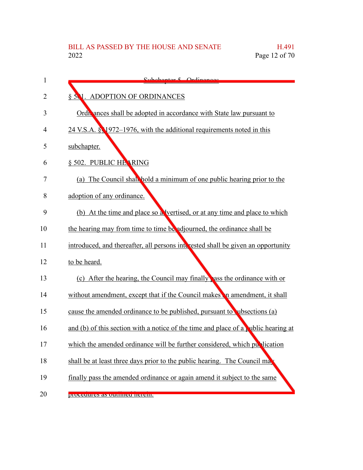| 1              | Subohantor 5 Ordinances                                                            |
|----------------|------------------------------------------------------------------------------------|
| $\overline{2}$ | § 501. ADOPTION OF ORDINANCES                                                      |
| 3              | Ordi ances shall be adopted in accordance with State law pursuant to               |
| 4              | 24 V.S.A. § 1972–1976, with the additional requirements noted in this              |
| 5              | subchapter.                                                                        |
| 6              | § 502. PUBLIC HEARING                                                              |
| 7              | (a) The Council shall hold a minimum of one public hearing prior to the            |
| 8              | adoption of any ordinance.                                                         |
| 9              | (b) At the time and place so a vertised, or at any time and place to which         |
| 10             | the hearing may from time to time be adjourned, the ordinance shall be             |
| 11             | introduced, and thereafter, all persons interested shall be given an opportunity   |
| 12             | to be heard.                                                                       |
| 13             | (c) After the hearing, the Council may finally ass the ordinance with or           |
| 14             | without amendment, except that if the Council makes in amendment, it shall         |
| 15             | cause the amended ordinance to be published, pursuant to ubsections (a)            |
| 16             | and (b) of this section with a notice of the time and place of a public hearing at |
| 17             | which the amended ordinance will be further considered, which pullication          |
| 18             | shall be at least three days prior to the public hearing. The Council ma           |
| 19             | finally pass the amended ordinance or again amend it subject to the same           |
| 20             | procedures as outnined nereni.                                                     |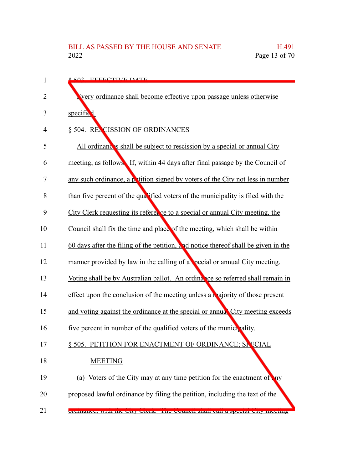| 1  | 8.502 EEEECTIVE DATE                                                                 |
|----|--------------------------------------------------------------------------------------|
| 2  | very ordinance shall become effective upon passage unless otherwise                  |
| 3  | specific <sup>1</sup> .                                                              |
| 4  | § 504. RECISSION OF ORDINANCES                                                       |
| 5  | All ordinances shall be subject to rescission by a special or annual City            |
| 6  | meeting, as follows. If, within 44 days after final passage by the Council of        |
| 7  | any such ordinance, a patition signed by voters of the City not less in number       |
| 8  | than five percent of the qualified voters of the municipality is filed with the      |
| 9  | City Clerk requesting its refere, ce to a special or annual City meeting, the        |
| 10 | Council shall fix the time and place of the meeting, which shall be within           |
| 11 | $60$ days after the filing of the petition, and notice thereof shall be given in the |
| 12 | manner provided by law in the calling of a pecial or annual City meeting.            |
| 13 | Voting shall be by Australian ballot. An ordinance so referred shall remain in       |
| 14 | effect upon the conclusion of the meeting unless a <b>n</b> ajority of those present |
| 15 | and voting against the ordinance at the special or annual City meeting exceeds       |
| 16 | five percent in number of the qualified voters of the municipality.                  |
| 17 | § 505. PETITION FOR ENACTMENT OF ORDINANCE; SE ECIAL                                 |
| 18 | <b>MEETING</b>                                                                       |
| 19 | (a) Voters of the City may at any time petition for the enactment of ny              |
| 20 | proposed lawful ordinance by filing the petition, including the text of the          |
| 21 | orumance, while the City Clerk. The Council shall can a special City incentig        |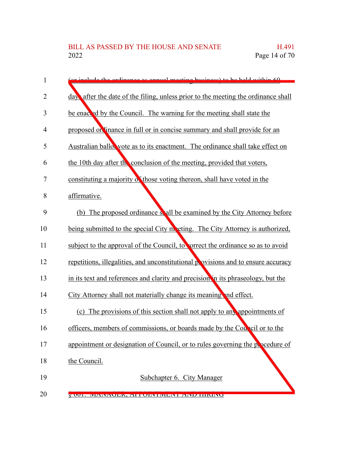| 1  | include the ordinance as annual meeting business) to be held within 60            |
|----|-----------------------------------------------------------------------------------|
| 2  | day after the date of the filing, unless prior to the meeting the ordinance shall |
| 3  | be enacted by the Council. The warning for the meeting shall state the            |
| 4  | proposed on linance in full or in concise summary and shall provide for an        |
| 5  | Australian ballow vote as to its enactment. The ordinance shall take effect on    |
| 6  | the 10th day after the conclusion of the meeting, provided that voters,           |
| 7  | constituting a majority of those voting thereon, shall have voted in the          |
| 8  | affirmative.                                                                      |
| 9  | The proposed ordinance so all be examined by the City Attorney before<br>(b)      |
| 10 | being submitted to the special City meeting. The City Attorney is authorized,     |
| 11 | subject to the approval of the Council, to correct the ordinance so as to avoid   |
| 12 | repetitions, illegalities, and unconstitutional provisions and to ensure accuracy |
| 13 | in its text and references and clarity and precision in its phraseology, but the  |
| 14 | City Attorney shall not materially change its meaning and effect.                 |
| 15 | (c) The provisions of this section shall not apply to any appointments of         |
| 16 | officers, members of commissions, or boards made by the Council or to the         |
| 17 | appointment or designation of Council, or to rules governing the procedure of     |
| 18 | the Council.                                                                      |
| 19 | Subchapter 6. City Manager                                                        |
| 20 | V 001. INFINAULIN, ALTUINTINIENT AINE HININU                                      |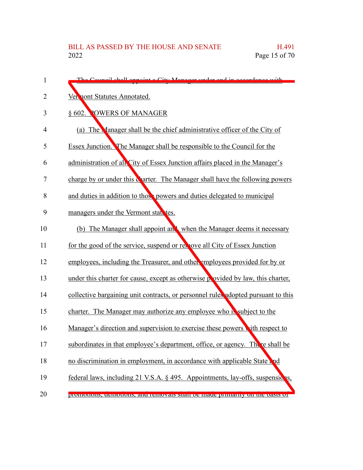| 1  | The Council shall annount a City Manager under and in accordance with             |
|----|-----------------------------------------------------------------------------------|
| 2  | Vermont Statutes Annotated.                                                       |
| 3  | § 602. POWERS OF MANAGER                                                          |
| 4  | (a) The Manager shall be the chief administrative officer of the City of          |
| 5  | Essex Junction. The Manager shall be responsible to the Council for the           |
| 6  | administration of all City of Essex Junction affairs placed in the Manager's      |
| 7  | charge by or under this charter. The Manager shall have the following powers      |
| 8  | and duties in addition to those powers and duties delegated to municipal          |
| 9  | managers under the Vermont states.                                                |
| 10 | (b) The Manager shall appoint and when the Manager deems it necessary             |
| 11 | for the good of the service, suspend or release all City of Essex Junction        |
| 12 | employees, including the Treasurer, and other employees provided for by or        |
| 13 | under this charter for cause, except as otherwise provided by law, this charter,  |
| 14 | collective bargaining unit contracts, or personnel rules adopted pursuant to this |
| 15 | charter. The Manager may authorize any employee who is subject to the             |
| 16 | Manager's direction and supervision to exercise these powers with respect to      |
| 17 | subordinates in that employee's department, office, or agency. There shall be     |
| 18 | no discrimination in employment, in accordance with applicable State and          |
| 19 | federal laws, including 21 V.S.A. § 495. Appointments, lay-offs, suspensions,     |
| 20 | ргоннопонь, аспютоны, ана генномаю ман ос шаас риннагну он ше оамь от             |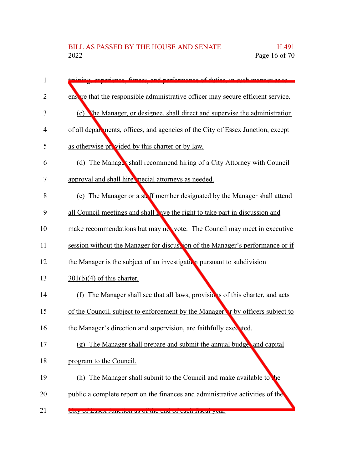| 1              | ing experience fitness and performance of duties in such monner as to                 |
|----------------|---------------------------------------------------------------------------------------|
| 2              | ensive that the responsible administrative officer may secure efficient service.      |
| 3              | (c) The Manager, or designee, shall direct and supervise the administration           |
| 4              | of all departments, offices, and agencies of the City of Essex Junction, except       |
| 5              | as otherwise provided by this charter or by law.                                      |
| 6              | (d) The Manage's shall recommend hiring of a City Attorney with Council               |
| $\overline{7}$ | approval and shall hire pecial attorneys as needed.                                   |
| 8              | The Manager or a ste ff member designated by the Manager shall attend<br>(e)          |
| 9              | all Council meetings and shall wave the right to take part in discussion and          |
| 10             | make recommendations but may not vote. The Council may meet in executive              |
| 11             | session without the Manager for discussion of the Manager's performance or if         |
| 12             | the Manager is the subject of an investigation pursuant to subdivision                |
| 13             | $301(b)(4)$ of this charter.                                                          |
| 14             | (f) The Manager shall see that all laws, provisions of this charter, and acts         |
| 15             | of the Council, subject to enforcement by the Manager <b>r</b> by officers subject to |
| 16             | the Manager's direction and supervision, are faithfully executed.                     |
| 17             | (g) The Manager shall prepare and submit the annual budge and capital                 |
| 18             | program to the Council.                                                               |
| 19             | (h) The Manager shall submit to the Council and make available to the                 |
| 20             | public a complete report on the finances and administrative activities of the         |
| 21             | City Of ESSEX JUITCHOIL AS OF THE CHU OF CAUT HSCAF YEAR.                             |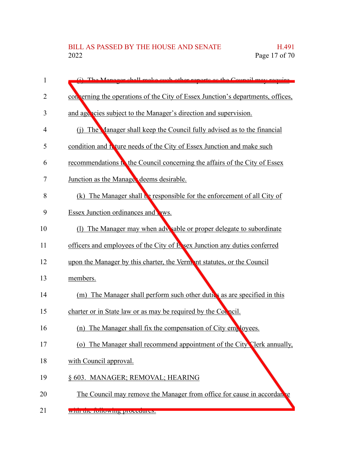| 1  | (i) The Manager shall make such other reports as the Council may require        |
|----|---------------------------------------------------------------------------------|
| 2  | con erning the operations of the City of Essex Junction's departments, offices, |
| 3  | and agencies subject to the Manager's direction and supervision.                |
| 4  | (i) The Manager shall keep the Council fully advised as to the financial        |
| 5  | condition and I ture needs of the City of Essex Junction and make such          |
| 6  | recommendations to the Council concerning the affairs of the City of Essex      |
| 7  | Junction as the Manage deems desirable.                                         |
| 8  | The Manager shall be responsible for the enforcement of all City of<br>(k)      |
| 9  | Essex Junction ordinances and <b>P</b> WS.                                      |
| 10 | (1) The Manager may when adv sable or proper delegate to subordinate            |
| 11 | officers and employees of the City of E sex Junction any duties conferred       |
| 12 | upon the Manager by this charter, the Vermant statutes, or the Council          |
| 13 | members.                                                                        |
| 14 | (m) The Manager shall perform such other dutics as are specified in this        |
| 15 | charter or in State law or as may be required by the Council.                   |
| 16 | The Manager shall fix the compensation of City employees.<br>(n)                |
| 17 | (o) The Manager shall recommend appointment of the City Clerk annually,         |
| 18 | with Council approval.                                                          |
| 19 | § 603. MANAGER; REMOVAL; HEARING                                                |
| 20 | The Council may remove the Manager from office for cause in accordance          |
| 21 | with the following procedures.                                                  |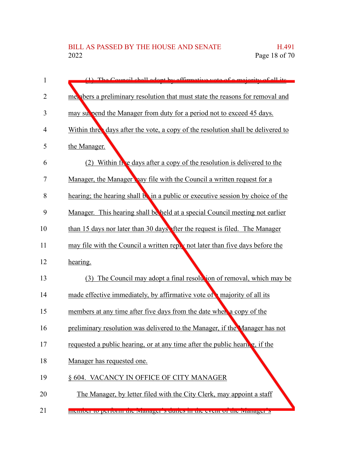| 1              | (1) The Council shall adopt by effirmative yets of a majority of all its         |
|----------------|----------------------------------------------------------------------------------|
| $\overline{2}$ | met about a preliminary resolution that must state the reasons for removal and   |
| 3              | may subseted the Manager from duty for a period not to exceed 45 days.           |
| 4              | Within three days after the vote, a copy of the resolution shall be delivered to |
| 5              | the Manager.                                                                     |
| 6              | (2) Within five days after a copy of the resolution is delivered to the          |
| 7              | Manager, the Manager hay file with the Council a written request for a           |
| 8              | hearing; the hearing shall be in a public or executive session by choice of the  |
| 9              | Manager. This hearing shall be held at a special Council meeting not earlier     |
| 10             | than 15 days nor later than 30 days fter the request is filed. The Manager       |
| 11             | may file with the Council a written reply not later than five days before the    |
| 12             | hearing.                                                                         |
| 13             | The Council may adopt a final resolution of removal, which may be<br>(3)         |
| 14             | made effective immediately, by affirmative vote of majority of all its           |
| 15             | members at any time after five days from the date when a copy of the             |
| 16             | preliminary resolution was delivered to the Manager, if the Manager has not      |
| 17             | requested a public hearing, or at any time after the public hearing, if the      |
| 18             | Manager has requested one.                                                       |
| 19             | § 604. VACANCY IN OFFICE OF CITY MANAGER                                         |
| 20             | The Manager, by letter filed with the City Clerk, may appoint a staff            |
| 21             | member to perform the ivianager s utilies in the event of the ivianager s        |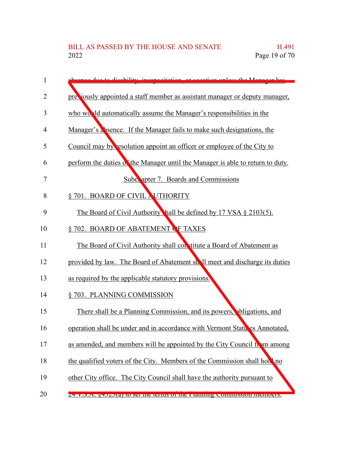| 1  | because due to dispbility inconscitation or vecetion unless the Manager has    |
|----|--------------------------------------------------------------------------------|
| 2  | preciously appointed a staff member as assistant manager or deputy manager,    |
| 3  | who would automatically assume the Manager's responsibilities in the           |
| 4  | Manager's absence. If the Manager fails to make such designations, the         |
| 5  | Council may by resolution appoint an officer or employee of the City to        |
| 6  | perform the duties of the Manager until the Manager is able to return to duty. |
| 7  | <b>Subc. apter 7. Boards and Commissions</b>                                   |
| 8  | § 701. BOARD OF CIVIL NUTHORITY                                                |
| 9  | The Board of Civil Authority hall be defined by 17 VSA § 2103(5).              |
| 10 | § 702. BOARD OF ABATEMENT OF TAXES                                             |
| 11 | The Board of Civil Authority shall constitute a Board of Abatement as          |
| 12 | provided by law. The Board of Abatement shall meet and discharge its duties    |
| 13 | as required by the applicable statutory provisions.                            |
| 14 | § 703. PLANNING COMMISSION                                                     |
| 15 | There shall be a Planning Commission, and its powers, phligations, and         |
| 16 | operation shall be under and in accordance with Vermont Statutes Annotated,    |
| 17 | as amended, and members will be appointed by the City Council from among       |
| 18 | the qualified voters of the City. Members of the Commission shall hold no      |
| 19 | other City office. The City Council shall have the authority pursuant to       |
| 20 | 24 V.S.A. 94525(a) to set the terms of the Framming Commission memoers.        |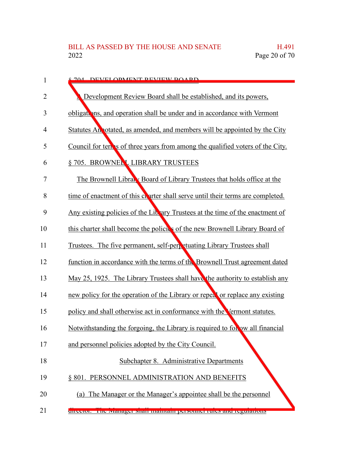| $\mathbf{1}$   | 704 DEVELOPMENT DEVIEW ROADD                                                    |
|----------------|---------------------------------------------------------------------------------|
| $\overline{2}$ | Development Review Board shall be established, and its powers,                  |
| 3              | obligations, and operation shall be under and in accordance with Vermont        |
| $\overline{4}$ | Statutes An otated, as amended, and members will be appointed by the City       |
| 5              | Council for term is of three years from among the qualified voters of the City. |
| 6              | § 705. BROWNELL LIBRARY TRUSTEES                                                |
| 7              | The Brownell Library Board of Library Trustees that holds office at the         |
| 8              | time of enactment of this charter shall serve until their terms are completed.  |
| 9              | Any existing policies of the Library Trustees at the time of the enactment of   |
| 10             | this charter shall become the policies of the new Brownell Library Board of     |
| 11             | Trustees. The five permanent, self-perpetuating Library Trustees shall          |
| 12             | function in accordance with the terms of the Brownell Trust agreement dated     |
| 13             | May 25, 1925. The Library Trustees shall have the authority to establish any    |
| 14             | new policy for the operation of the Library or repeat or replace any existing   |
| 15             | policy and shall otherwise act in conformance with the Vermont statutes.        |
| 16             | Notwithstanding the forgoing, the Library is required to follow all financial   |
| 17             | and personnel policies adopted by the City Council.                             |
| 18             | Subchapter 8. Administrative Departments                                        |
| 19             | § 801. PERSONNEL ADMINISTRATION AND BENEFITS                                    |
| 20             | (a) The Manager or the Manager's appointee shall be the personnel               |
| 21             | uncetor. The tyranager shan manualli personnel rules and regulations            |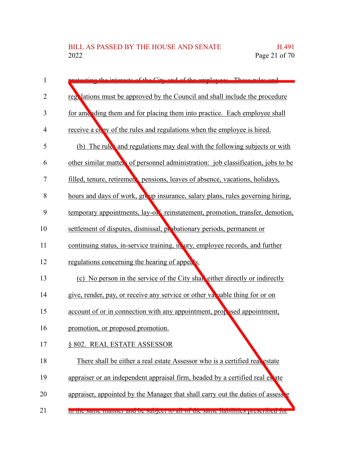| 1              | ecting the interests of the City and of the employees. These rules and            |
|----------------|-----------------------------------------------------------------------------------|
| $\overline{2}$ | regulations must be approved by the Council and shall include the procedure       |
| 3              | for amending them and for placing them into practice. Each employee shall         |
| 4              | receive a copy of the rules and regulations when the employee is hired.           |
| 5              | (b) The rule and regulations may deal with the following subjects or with         |
| 6              | other similar matters of personnel administration: job classification, jobs to be |
| 7              | filled, tenure, retirement pensions, leaves of absence, vacations, holidays,      |
| 8              | hours and days of work, group insurance, salary plans, rules governing hiring,    |
| 9              | temporary appointments, lay-or reinstatement, promotion, transfer, demotion,      |
| 10             | settlement of disputes, dismissal, probationary periods, permanent or             |
| 11             | continuing status, in-service training, in ury, employee records, and further     |
| 12             | regulations concerning the hearing of appeals.                                    |
| 13             | (c) No person in the service of the City shall either directly or indirectly      |
| 14             | give, render, pay, or receive any service or other variable thing for or on       |
| 15             | account of or in connection with any appointment, proposed appointment,           |
| 16             | promotion, or proposed promotion.                                                 |
| 17             | § 802. REAL ESTATE ASSESSOR                                                       |
| 18             | There shall be either a real estate Assessor who is a certified real estate       |
| 19             | appraiser or an independent appraisal firm, headed by a certified real es ate     |
| 20             | appraiser, appointed by the Manager that shall carry out the duties of assesser   |
| 21             | <u>m me same manner and be subject to an or the same nabintes prescribed for</u>  |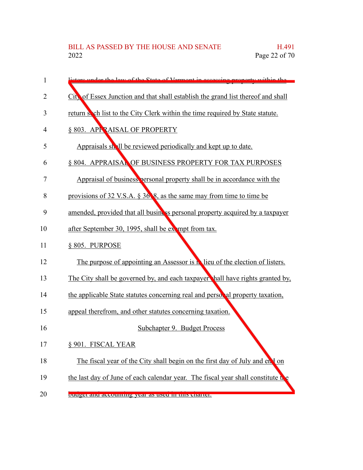| 1  | stars under the law of the State of Vermont in assessing property within the       |
|----|------------------------------------------------------------------------------------|
| 2  | City of Essex Junction and that shall establish the grand list thereof and shall   |
| 3  | return soch list to the City Clerk within the time required by State statute.      |
| 4  | § 803. APPRAISAL OF PROPERTY                                                       |
| 5  | Appraisals shall be reviewed periodically and kept up to date.                     |
| 6  | § 804. APPRAISAL OF BUSINESS PROPERTY FOR TAX PURPOSES                             |
| 7  | Appraisal of business personal property shall be in accordance with the            |
| 8  | provisions of $32$ V.S.A. § $36$ §, as the same may from time to time be           |
| 9  | amended, provided that all business personal property acquired by a taxpayer       |
| 10 | after September 30, 1995, shall be exampt from tax.                                |
| 11 | § 805. PURPOSE                                                                     |
| 12 | The purpose of appointing an Assessor is <b>N</b> lieu of the election of listers. |
| 13 | The City shall be governed by, and each taxpayer hall have rights granted by,      |
| 14 | the applicable State statutes concerning real and persor al property taxation,     |
| 15 | appeal therefrom, and other statutes concerning taxation.                          |
| 16 | Subchapter 9. Budget Process                                                       |
| 17 | § 901. FISCAL YEAR                                                                 |
| 18 | The fiscal year of the City shall begin on the first day of July and end on        |
| 19 | the last day of June of each calendar year. The fiscal year shall constitute the   |
| 20 | buugu anu accounting year as used in this charter.                                 |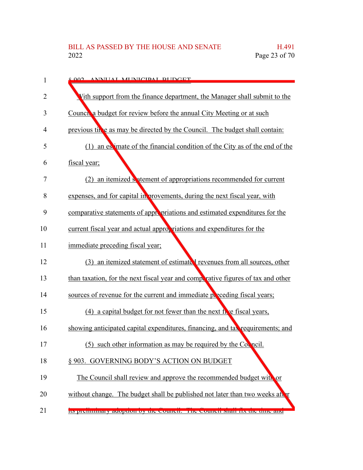| 1              | <u>2002 ANNILAL MENICIDAL REIDCET</u>                                            |
|----------------|----------------------------------------------------------------------------------|
| 2              | Vith support from the finance department, the Manager shall submit to the        |
| 3              | Counch a budget for review before the annual City Meeting or at such             |
| 4              | previous tiple as may be directed by the Council. The budget shall contain:      |
| 5              | (1) an estimate of the financial condition of the City as of the end of the      |
| 6              | fiscal year;                                                                     |
| $\overline{7}$ | (2) an itemized satement of appropriations recommended for current               |
| 8              | expenses, and for capital in provements, during the next fiscal year, with       |
| 9              | comparative statements of appropriations and estimated expenditures for the      |
| 10             | current fiscal year and actual appropriations and expenditures for the           |
| 11             | immediate preceding fiscal year;                                                 |
| 12             | (3) an itemized statement of estimated revenues from all sources, other          |
| 13             | than taxation, for the next fiscal year and competative figures of tax and other |
| 14             | sources of revenue for the current and immediate preceding fiscal years;         |
| 15             | (4) a capital budget for not fewer than the next free fiscal years,              |
| 16             | showing anticipated capital expenditures, financing, and tax requirements; and   |
| 17             | such other information as may be required by the Council.<br>(5)                 |
| 18             | § 903. GOVERNING BODY'S ACTION ON BUDGET                                         |
| 19             | The Council shall review and approve the recommended budget with or              |
| 20             | without change. The budget shall be published not later than two weeks after     |
| 21             | Its premimiary adoption by the council. The council shall ha the third and       |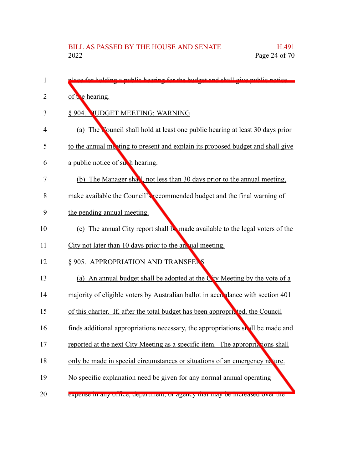| 1  | alges for holding a public heaving for the budget and shall give public notice  |
|----|---------------------------------------------------------------------------------|
| 2  | of the hearing.                                                                 |
| 3  | § 904. PUDGET MEETING; WARNING                                                  |
| 4  | (a) The Council shall hold at least one public hearing at least 30 days prior   |
| 5  | to the annual meeting to present and explain its proposed budget and shall give |
| 6  | a public notice of such hearing.                                                |
| 7  | (b) The Manager shall, not less than 30 days prior to the annual meeting,       |
| 8  | make available the Council's recommended budget and the final warning of        |
| 9  | the pending annual meeting.                                                     |
| 10 | (c) The annual City report shall be made available to the legal voters of the   |
| 11 | City not later than 10 days prior to the an ual meeting.                        |
| 12 | § 905. APPROPRIATION AND TRANSFERS                                              |
| 13 | (a) An annual budget shall be adopted at the City Meeting by the vote of a      |
| 14 | majority of eligible voters by Australian ballot in accordance with section 401 |
| 15 | of this charter. If, after the total budget has been appropricted, the Council  |
| 16 | finds additional appropriations necessary, the appropriations shall be made and |
| 17 | reported at the next City Meeting as a specific item. The appropriations shall  |
| 18 | only be made in special circumstances or situations of an emergency nature.     |
| 19 | No specific explanation need be given for any normal annual operating           |
| 20 | expense in any other, department, or agency that may be increased over the      |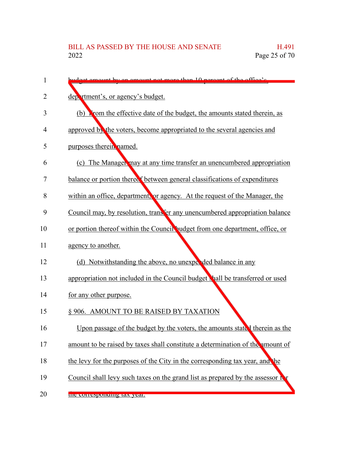| 1  | budget emount by an emount not more than 10 percent of the office's            |
|----|--------------------------------------------------------------------------------|
| 2  | department's, or agency's budget.                                              |
| 3  | (b) From the effective date of the budget, the amounts stated therein, as      |
| 4  | approved by the voters, become appropriated to the several agencies and        |
| 5  | purposes therein named.                                                        |
| 6  | (c) The Manager may at any time transfer an unencumbered appropriation         |
| 7  | balance or portion therect between general classifications of expenditures     |
| 8  | within an office, department, or agency. At the request of the Manager, the    |
| 9  | Council may, by resolution, transfer any unencumbered appropriation balance    |
| 10 | or portion thereof within the Council budget from one department, office, or   |
| 11 | agency to another.                                                             |
| 12 | (d) Notwithstanding the above, no unexpel ded balance in any                   |
| 13 | appropriation not included in the Council budget shall be transferred or used  |
| 14 | for any other purpose.                                                         |
| 15 | § 906. AMOUNT TO BE RAISED BY TAXATION                                         |
| 16 | Upon passage of the budget by the voters, the amounts stated therein as the    |
| 17 | amount to be raised by taxes shall constitute a determination of the amount of |
| 18 | the levy for the purposes of the City in the corresponding tax year, and the   |
| 19 | Council shall levy such taxes on the grand list as prepared by the assessor f  |
| 20 | the corresponding tax year.                                                    |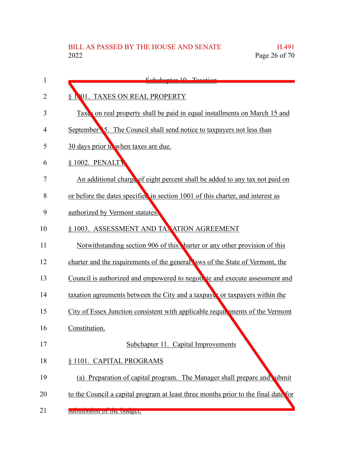| 1  | Subchapter 10 Tovotion                                                             |
|----|------------------------------------------------------------------------------------|
| 2  | § 1001. TAXES ON REAL PROPERTY                                                     |
| 3  | Taxes on real property shall be paid in equal installments on March 15 and         |
| 4  | September 5. The Council shall send notice to taxpayers not less than              |
| 5  | 30 days prior to when taxes are due.                                               |
| 6  | § 1002. PENALTY                                                                    |
| 7  | An additional charge of eight percent shall be added to any tax not paid on        |
| 8  | or before the dates specified in section 1001 of this charter, and interest as     |
| 9  | authorized by Vermont statutes.                                                    |
| 10 | § 1003. ASSESSMENT AND TAXATION AGREEMENT                                          |
| 11 | Notwithstanding section 906 of this harter or any other provision of this          |
| 12 | charter and the requirements of the general aws of the State of Vermont, the       |
| 13 | Council is authorized and empowered to negotive and execute assessment and         |
| 14 | taxation agreements between the City and a taxpayes or taxpayers within the        |
| 15 | City of Essex Junction consistent with applicable requirements of the Vermont      |
| 16 | Constitution.                                                                      |
| 17 | Subchapter 11. Capital Improvements                                                |
| 18 | § 1101. CAPITAL PROGRAMS                                                           |
| 19 | (a) Preparation of capital program. The Manager shall prepare and ubmit            |
| 20 | to the Council a capital program at least three months prior to the final date for |
| 21 | SUDHIISSIOII OF THE DUUGEL.                                                        |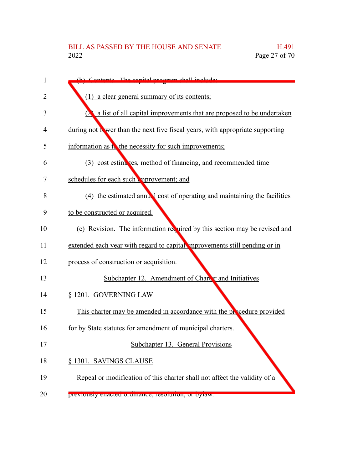| 1  | Contente The conital program shall include                                          |
|----|-------------------------------------------------------------------------------------|
| 2  | (1) a clear general summary of its contents;                                        |
| 3  | a list of all capital improvements that are proposed to be undertaken<br>$(\lambda$ |
| 4  | during not if wer than the next five fiscal years, with appropriate supporting      |
| 5  | information as to the necessity for such improvements;                              |
| 6  | (3) cost estimates, method of financing, and recommended time                       |
| 7  | schedules for each such mprovement; and                                             |
| 8  | (4) the estimated annual cost of operating and maintaining the facilities           |
| 9  | to be constructed or acquired.                                                      |
| 10 | (c) Revision. The information required by this section may be revised and           |
| 11 | extended each year with regard to capital improvements still pending or in          |
| 12 | process of construction or acquisition.                                             |
| 13 | Subchapter 12. Amendment of Charter and Initiatives                                 |
| 14 | § 1201. GOVERNING LAW                                                               |
| 15 | This charter may be amended in accordance with the procedure provided               |
| 16 | for by State statutes for amendment of municipal charters.                          |
| 17 | Subchapter 13. General Provisions                                                   |
| 18 | § 1301. SAVINGS CLAUSE                                                              |
| 19 | Repeal or modification of this charter shall not affect the validity of a           |
| 20 | previously enacted ordinance, resolution, or oytaw.                                 |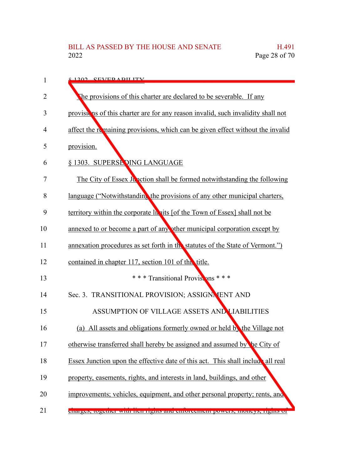| 1  | 8 1202 CEVED A DII ITV                                                           |
|----|----------------------------------------------------------------------------------|
| 2  | The provisions of this charter are declared to be severable. If any              |
| 3  | provisions of this charter are for any reason invalid, such invalidity shall not |
| 4  | affect the remaining provisions, which can be given effect without the invalid   |
| 5  | provision.                                                                       |
| 6  | § 1303. SUPERSE DING LANGUAGE                                                    |
| 7  | The City of Essex Junction shall be formed notwithstanding the following         |
| 8  | language ("Notwithstanding the provisions of any other municipal charters,       |
| 9  | territory within the corporate hapits [of the Town of Essex] shall not be        |
| 10 | annexed to or become a part of any other municipal corporation except by         |
| 11 | annexation procedures as set forth in the statutes of the State of Vermont.")    |
| 12 | contained in chapter 117, section 101 of this title.                             |
| 13 | * * * Transitional Provisions * * *                                              |
| 14 | Sec. 3. TRANSITIONAL PROVISION; ASSIGNMENT AND                                   |
| 15 | ASSUMPTION OF VILLAGE ASSETS AND LIABILITIES                                     |
| 16 | (a) All assets and obligations formerly owned or held by the Village not         |
| 17 | otherwise transferred shall hereby be assigned and assumed by the City of        |
| 18 | Essex Junction upon the effective date of this act. This shall include all real  |
| 19 | property, easements, rights, and interests in land, buildings, and other         |
| 20 | improvements; vehicles, equipment, and other personal property; rents, and       |
| 21 | enarges, together with nen rights and emoreement powers, moneys, rights or       |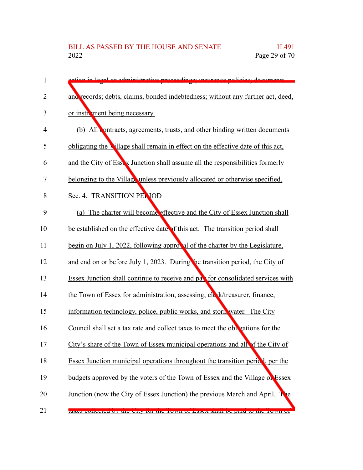| 1  | stion in local or administrative proceedings; insurance policies; documents.         |
|----|--------------------------------------------------------------------------------------|
| 2  | and records; debts, claims, bonded indebtedness; without any further act, deed,      |
| 3  | or instrument being necessary.                                                       |
| 4  | (b) All contracts, agreements, trusts, and other binding written documents           |
| 5  | obligating the Village shall remain in effect on the effective date of this act,     |
| 6  | and the City of Essex Junction shall assume all the responsibilities formerly        |
| 7  | belonging to the Village unless previously allocated or otherwise specified.         |
| 8  | Sec. 4. TRANSITION PENIOD                                                            |
| 9  | (a) The charter will become effective and the City of Essex Junction shall           |
| 10 | be established on the effective date of this act. The transition period shall        |
| 11 | begin on July 1, 2022, following approval of the charter by the Legislature,         |
| 12 | and end on or before July 1, 2023. During the transition period, the City of         |
| 13 | Essex Junction shall continue to receive and pay for consolidated services with      |
| 14 | the Town of Essex for administration, assessing, cle k/treasurer, finance,           |
| 15 | information technology, police, public works, and storn water. The City              |
| 16 | Council shall set a tax rate and collect taxes to meet the obligations for the       |
| 17 | City's share of the Town of Essex municipal operations and all of the City of        |
| 18 | Essex Junction municipal operations throughout the transition period, per the        |
| 19 | budgets approved by the voters of the Town of Essex and the Village of Essex         |
| 20 | Junction (now the City of Essex Junction) the previous March and April.<br><b>Ne</b> |
| 21 | taxes conceted by the City for the TOWII of Essex shall be paid to the TOWII of      |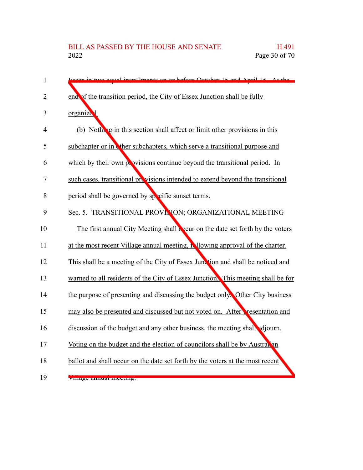| $\mathbf{1}$   | Essay in two equal installments on or before October 15 and April 15 At the      |
|----------------|----------------------------------------------------------------------------------|
| $\overline{2}$ | end of the transition period, the City of Essex Junction shall be fully          |
| 3              | organized.                                                                       |
| $\overline{4}$ | (b) Nothing in this section shall affect or limit other provisions in this       |
| 5              | subchapter or in ther subchapters, which serve a transitional purpose and        |
| 6              | which by their own provisions continue beyond the transitional period. In        |
| 7              | such cases, transitional provisions intended to extend beyond the transitional   |
| 8              | period shall be governed by specific sunset terms.                               |
| 9              | Sec. 5. TRANSITIONAL PROVINION; ORGANIZATIONAL MEETING                           |
| 10             | The first annual City Meeting shall accur on the date set forth by the voters    |
| 11             | at the most recent Village annual meeting, in lowing approval of the charter.    |
| 12             | This shall be a meeting of the City of Essex Junction and shall be noticed and   |
| 13             | warned to all residents of the City of Essex Junction. This meeting shall be for |
| 14             | the purpose of presenting and discussing the budget only. Other City business    |
| 15             | may also be presented and discussed but not voted on. After resentation and      |
| 16             | discussion of the budget and any other business, the meeting shall adjourn.      |
| 17             | Voting on the budget and the election of councilors shall be by Australian       |
| 18             | ballot and shall occur on the date set forth by the voters at the most recent    |
| 19             | <u>унтаge анниаг шееинg.</u>                                                     |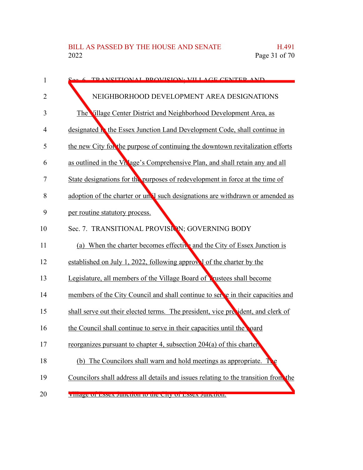| 1              | See 6 TD ANSITIONAL DROVISION, VII LACE CENTER AND                                         |
|----------------|--------------------------------------------------------------------------------------------|
| $\overline{2}$ | NEIGHBORHOOD DEVELOPMENT AREA DESIGNATIONS                                                 |
| 3              | The Village Center District and Neighborhood Development Area, as                          |
| 4              | designated <b>h</b> the Essex Junction Land Development Code, shall continue in            |
| 5              | the new City for the purpose of continuing the downtown revitalization efforts             |
| 6              | as outlined in the Vn'age's Comprehensive Plan, and shall retain any and all               |
| 7              | State designations for the purposes of redevelopment in force at the time of               |
| 8              | adoption of the charter or un <sup>t</sup> l such designations are withdrawn or amended as |
| 9              | per routine statutory process.                                                             |
| 10             | Sec. 7. TRANSITIONAL PROVISION; GOVERNING BODY                                             |
| 11             | (a) When the charter becomes effective and the City of Essex Junction is                   |
| 12             | established on July 1, 2022, following approve of the charter by the                       |
| 13             | Legislature, all members of the Village Board of Lustees shall become                      |
| 14             | members of the City Council and shall continue to set e in their capacities and            |
| 15             | shall serve out their elected terms. The president, vice precident, and clerk of           |
| 16             | the Council shall continue to serve in their capacities until the poard                    |
| 17             | reorganizes pursuant to chapter 4, subsection 204(a) of this charter.                      |
| 18             | (b) The Councilors shall warn and hold meetings as appropriate.                            |
| 19             | Councilors shall address all details and issues relating to the transition from the        |
| 20             | VIIIage Of ESSEX JUNCTION to the City Of ESSEX JUNCTION.                                   |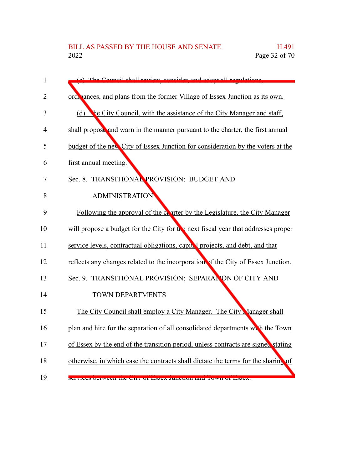| 1              | (a) The Council shall review consider and adopt all requisions                    |
|----------------|-----------------------------------------------------------------------------------|
| $\overline{2}$ | ord, ances, and plans from the former Village of Essex Junction as its own.       |
| 3              | (d) The City Council, with the assistance of the City Manager and staff,          |
| 4              | shall propose and warn in the manner pursuant to the charter, the first annual    |
| 5              | budget of the new City of Essex Junction for consideration by the voters at the   |
| 6              | first annual meeting.                                                             |
| 7              | Sec. 8. TRANSITIONAL PROVISION; BUDGET AND                                        |
| 8              | <b>ADMINISTRATION</b>                                                             |
| 9              | Following the approval of the contract by the Legislature, the City Manager       |
| 10             | will propose a budget for the City for the next fiscal year that addresses proper |
| 11             | service levels, contractual obligations, capit I projects, and debt, and that     |
| 12             | reflects any changes related to the incorporation of the City of Essex Junction.  |
| 13             | Sec. 9. TRANSITIONAL PROVISION; SEPARATION OF CITY AND                            |
| 14             | <b>TOWN DEPARTMENTS</b>                                                           |
| 15             | The City Council shall employ a City Manager. The City Manager shall              |
| 16             | plan and hire for the separation of all consolidated departments with the Town    |
| 17             | of Essex by the end of the transition period, unless contracts are signed stating |
| 18             | otherwise, in which case the contracts shall dictate the terms for the sharing of |
| 19             | <u>SUIVIUUS DUIWUUH IIIU UHY OF PSSUX JUHUHOH AHU TOWH OF PSSUX.</u>              |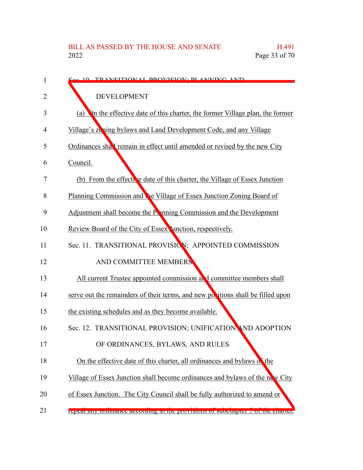| 1  | S <sub>ee</sub> 10 TRANSITIONAL DROVISION. DI ANNING AND                          |
|----|-----------------------------------------------------------------------------------|
| 2  | <b>DEVELOPMENT</b>                                                                |
| 3  | On the effective date of this charter, the former Village plan, the former<br>(a) |
| 4  | Village's zening bylaws and Land Development Code, and any Village                |
| 5  | Ordinances shall remain in effect until amended or revised by the new City        |
| 6  | Council.                                                                          |
| 7  | (b) From the effective date of this charter, the Village of Essex Junction        |
| 8  | Planning Commission and the Village of Essex Junction Zoning Board of             |
| 9  | Adjustment shall become the Panning Commission and the Development                |
| 10 | Review Board of the City of Essex Junction, respectively.                         |
| 11 | Sec. 11. TRANSITIONAL PROVISION; APPOINTED COMMISSION                             |
| 12 | AND COMMITTEE MEMBERS                                                             |
| 13 | All current Trustee appointed commission at d committee members shall             |
| 14 | serve out the remainders of their terms, and new positions shall be filled upon   |
| 15 | the existing schedules and as they become available.                              |
| 16 | Sec. 12. TRANSITIONAL PROVISION; UNIFICATION AND ADOPTION                         |
| 17 | OF ORDINANCES, BYLAWS, AND RULES                                                  |
| 18 | On the effective date of this charter, all ordinances and bylaws of the           |
| 19 | Village of Essex Junction shall become ordinances and bylaws of the new City      |
| 20 | of Essex Junction. The City Council shall be fully authorized to amend or         |
| 21 | repear any orumance according to the provisions or subchapter o or the charter.   |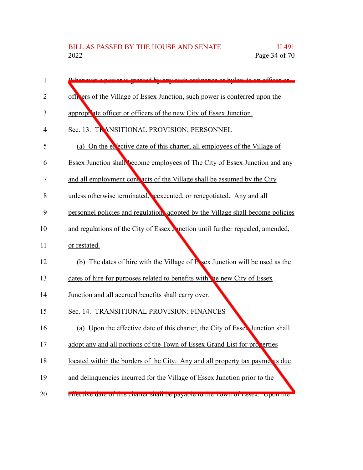| 1  | Whonever a power is grapted by ony such ordinance or by law to an officer or          |
|----|---------------------------------------------------------------------------------------|
| 2  | officers of the Village of Essex Junction, such power is conferred upon the           |
| 3  | appropriate officer or officers of the new City of Essex Junction.                    |
| 4  | Sec. 13. TRANSITIONAL PROVISION; PERSONNEL                                            |
| 5  | (a) On the exective date of this charter, all employees of the Village of             |
| 6  | <b>Essex Junction shall become employees of The City of Essex Junction and any</b>    |
| 7  | and all employment contracts of the Village shall be assumed by the City              |
| 8  | unless otherwise terminated, reexecuted, or renegotiated. Any and all                 |
| 9  | personnel policies and regulation, adopted by the Village shall become policies       |
| 10 | and regulations of the City of Essex <b>M</b> notion until further repealed, amended, |
| 11 | or restated.                                                                          |
| 12 | (b) The dates of hire with the Village of E sex Junction will be used as the          |
| 13 | dates of hire for purposes related to benefits with the new City of Essex             |
| 14 | Junction and all accrued benefits shall carry over.                                   |
| 15 | Sec. 14. TRANSITIONAL PROVISION; FINANCES                                             |
| 16 | Upon the effective date of this charter, the City of Essex Junction shall<br>(a)      |
| 17 | adopt any and all portions of the Town of Essex Grand List for properties             |
| 18 | located within the borders of the City. Any and all property tax payments due         |
| 19 | and delinquencies incurred for the Village of Essex Junction prior to the             |
| 20 | enecuve uate or this charter shall be payable to the TOWIFOI ESSEA. Upon the          |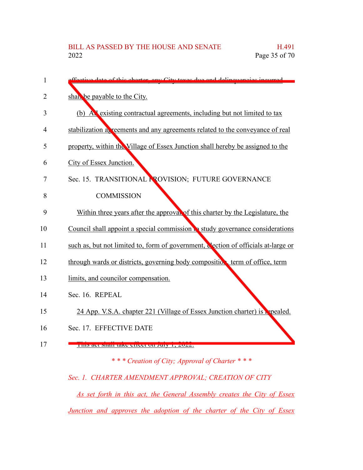| 1  | ffective data of this charter, any City taxes due and delinguancies incurred      |
|----|-----------------------------------------------------------------------------------|
| 2  | shall be payable to the City.                                                     |
| 3  | (b) All existing contractual agreements, including but not limited to tax         |
| 4  | stabilization as reements and any agreements related to the conveyance of real    |
| 5  | property, within the Village of Essex Junction shall hereby be assigned to the    |
| 6  | City of Essex Junction.                                                           |
| 7  | Sec. 15. TRANSITIONAL PROVISION; FUTURE GOVERNANCE                                |
| 8  | <b>COMMISSION</b>                                                                 |
| 9  | Within three years after the approval of this charter by the Legislature, the     |
| 10 | Council shall appoint a special commission to study governance considerations     |
| 11 | such as, but not limited to, form of government, dection of officials at-large or |
| 12 | through wards or districts, governing body composition, term of office, term      |
| 13 | limits, and councilor compensation.                                               |
| 14 | Sec. 16. REPEAL                                                                   |
| 15 | 24 App. V.S.A. chapter 221 (Village of Essex Junction charter) is repealed.       |
| 16 | Sec. 17. EFFECTIVE DATE                                                           |
| 17 | THIS are shall take effect on $J^{\text{III}}(1, 2022)$ .                         |
|    | *** Creation of City; Approval of Charter ***                                     |

## *Sec. 1. CHARTER AMENDMENT APPROVAL; CREATION OF CITY*

*As set forth in this act, the General Assembly creates the City of Essex Junction and approves the adoption of the charter of the City of Essex*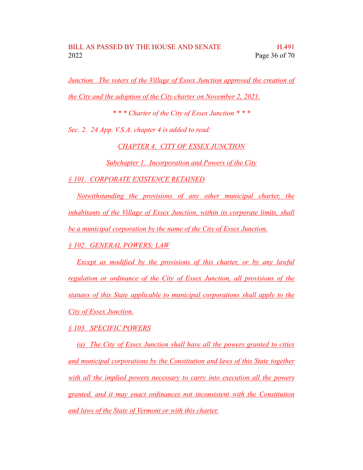*Junction. The voters of the Village of Essex Junction approved the creation of the City and the adoption of the City charter on November 2, 2021.*

*\* \* \* Charter of the City of Essex Junction \* \* \**

*Sec. 2. 24 App. V.S.A. chapter 4 is added to read:*

*CHAPTER 4. CITY OF ESSEX JUNCTION*

*Subchapter 1. Incorporation and Powers of the City*

*§ 101. CORPORATE EXISTENCE RETAINED*

*Notwithstanding the provisions of any other municipal charter, the inhabitants of the Village of Essex Junction, within its corporate limits, shall be a municipal corporation by the name of the City of Essex Junction.*

*§ 102. GENERAL POWERS; LAW*

*Except as modified by the provisions of this charter, or by any lawful regulation or ordinance of the City of Essex Junction, all provisions of the statutes of this State applicable to municipal corporations shall apply to the City of Essex Junction.*

*§ 103. SPECIFIC POWERS*

*(a) The City of Essex Junction shall have all the powers granted to cities and municipal corporations by the Constitution and laws of this State together with all the implied powers necessary to carry into execution all the powers granted, and it may enact ordinances not inconsistent with the Constitution and laws of the State of Vermont or with this charter.*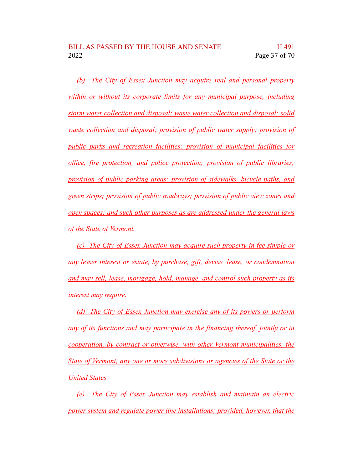*(b) The City of Essex Junction may acquire real and personal property within or without its corporate limits for any municipal purpose, including storm water collection and disposal; waste water collection and disposal; solid waste collection and disposal; provision of public water supply; provision of public parks and recreation facilities; provision of municipal facilities for office, fire protection, and police protection; provision of public libraries; provision of public parking areas; provision of sidewalks, bicycle paths, and green strips; provision of public roadways; provision of public view zones and open spaces; and such other purposes as are addressed under the general laws of the State of Vermont.*

*(c) The City of Essex Junction may acquire such property in fee simple or any lesser interest or estate, by purchase, gift, devise, lease, or condemnation and may sell, lease, mortgage, hold, manage, and control such property as its interest may require.*

*(d) The City of Essex Junction may exercise any of its powers or perform any of its functions and may participate in the financing thereof, jointly or in cooperation, by contract or otherwise, with other Vermont municipalities, the State of Vermont, any one or more subdivisions or agencies of the State or the United States.*

*(e) The City of Essex Junction may establish and maintain an electric power system and regulate power line installations; provided, however, that the*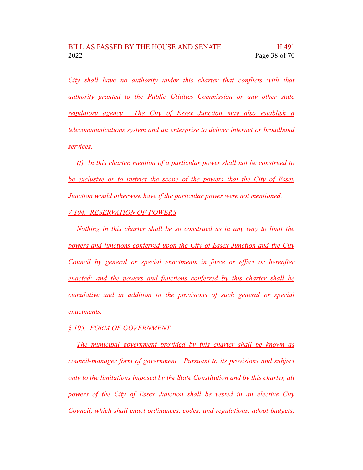*City shall have no authority under this charter that conflicts with that authority granted to the Public Utilities Commission or any other state regulatory agency. The City of Essex Junction may also establish a telecommunications system and an enterprise to deliver internet or broadband services.*

*(f) In this charter, mention of a particular power shall not be construed to be exclusive or to restrict the scope of the powers that the City of Essex Junction would otherwise have if the particular power were not mentioned. § 104. RESERVATION OF POWERS*

*Nothing in this charter shall be so construed as in any way to limit the powers and functions conferred upon the City of Essex Junction and the City Council by general or special enactments in force or effect or hereafter enacted; and the powers and functions conferred by this charter shall be cumulative and in addition to the provisions of such general or special enactments.*

*§ 105. FORM OF GOVERNMENT*

*The municipal government provided by this charter shall be known as council-manager form of government. Pursuant to its provisions and subject only to the limitations imposed by the State Constitution and by this charter, all powers of the City of Essex Junction shall be vested in an elective City Council, which shall enact ordinances, codes, and regulations, adopt budgets,*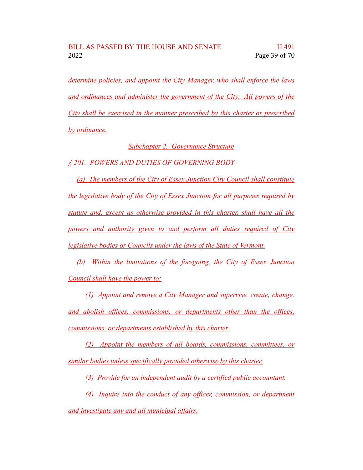*determine policies, and appoint the City Manager, who shall enforce the laws and ordinances and administer the government of the City. All powers of the City shall be exercised in the manner prescribed by this charter or prescribed by ordinance.*

*Subchapter 2. Governance Structure*

### *§ 201. POWERS AND DUTIES OF GOVERNING BODY*

*(a) The members of the City of Essex Junction City Council shall constitute the legislative body of the City of Essex Junction for all purposes required by statute and, except as otherwise provided in this charter, shall have all the powers and authority given to and perform all duties required of City legislative bodies or Councils under the laws of the State of Vermont.*

*(b) Within the limitations of the foregoing, the City of Essex Junction Council shall have the power to:*

*(1) Appoint and remove a City Manager and supervise, create, change, and abolish offices, commissions, or departments other than the offices, commissions, or departments established by this charter.*

*(2) Appoint the members of all boards, commissions, committees, or similar bodies unless specifically provided otherwise by this charter.*

*(3) Provide for an independent audit by a certified public accountant.*

*(4) Inquire into the conduct of any officer, commission, or department and investigate any and all municipal affairs.*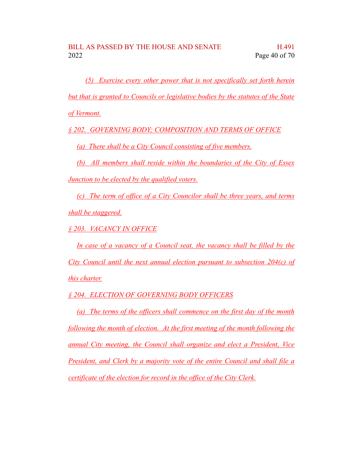*(5) Exercise every other power that is not specifically set forth herein but that is granted to Councils or legislative bodies by the statutes of the State of Vermont.*

*§ 202. GOVERNING BODY; COMPOSITION AND TERMS OF OFFICE*

*(a) There shall be a City Council consisting of five members.*

*(b) All members shall reside within the boundaries of the City of Essex Junction to be elected by the qualified voters.*

*(c) The term of office of a City Councilor shall be three years, and terms shall be staggered.*

*§ 203. VACANCY IN OFFICE*

*In case of a vacancy of a Council seat, the vacancy shall be filled by the City Council until the next annual election pursuant to subsection 204(c) of this charter.*

*§ 204. ELECTION OF GOVERNING BODY OFFICERS*

*(a) The terms of the officers shall commence on the first day of the month following the month of election. At the first meeting of the month following the annual City meeting, the Council shall organize and elect a President, Vice President, and Clerk by a majority vote of the entire Council and shall file a certificate of the election for record in the office of the City Clerk.*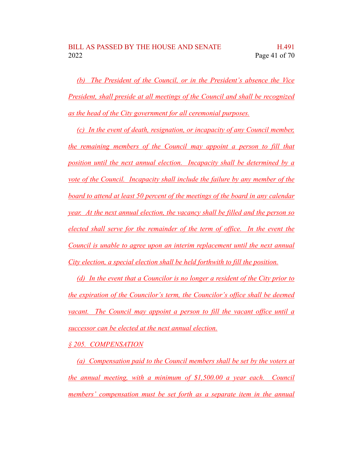*(b) The President of the Council, or in the President's absence the Vice President, shall preside at all meetings of the Council and shall be recognized as the head of the City government for all ceremonial purposes.*

*(c) In the event of death, resignation, or incapacity of any Council member, the remaining members of the Council may appoint a person to fill that position until the next annual election. Incapacity shall be determined by a vote of the Council. Incapacity shall include the failure by any member of the board to attend at least 50 percent of the meetings of the board in any calendar year. At the next annual election, the vacancy shall be filled and the person so elected shall serve for the remainder of the term of office. In the event the Council is unable to agree upon an interim replacement until the next annual City election, a special election shall be held forthwith to fill the position.*

*(d) In the event that a Councilor is no longer a resident of the City prior to the expiration of the Councilor's term, the Councilor's office shall be deemed vacant. The Council may appoint a person to fill the vacant office until a successor can be elected at the next annual election.*

*§ 205. COMPENSATION*

*(a) Compensation paid to the Council members shall be set by the voters at the annual meeting, with a minimum of \$1,500.00 a year each. Council members' compensation must be set forth as a separate item in the annual*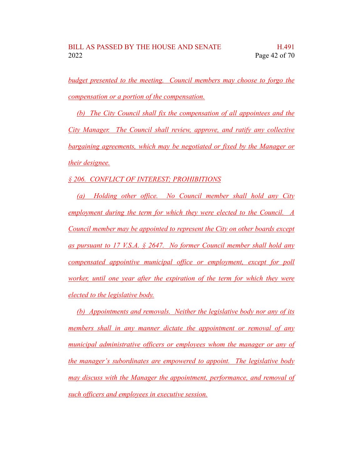*budget presented to the meeting. Council members may choose to forgo the compensation or a portion of the compensation.*

*(b) The City Council shall fix the compensation of all appointees and the City Manager. The Council shall review, approve, and ratify any collective bargaining agreements, which may be negotiated or fixed by the Manager or their designee.*

*§ 206. CONFLICT OF INTEREST; PROHIBITIONS*

*(a) Holding other office. No Council member shall hold any City employment during the term for which they were elected to the Council. A Council member may be appointed to represent the City on other boards except as pursuant to 17 V.S.A. § 2647. No former Council member shall hold any compensated appointive municipal office or employment, except for poll worker, until one year after the expiration of the term for which they were elected to the legislative body.*

*(b) Appointments and removals. Neither the legislative body nor any of its members shall in any manner dictate the appointment or removal of any municipal administrative officers or employees whom the manager or any of the manager's subordinates are empowered to appoint. The legislative body may discuss with the Manager the appointment, performance, and removal of such officers and employees in executive session.*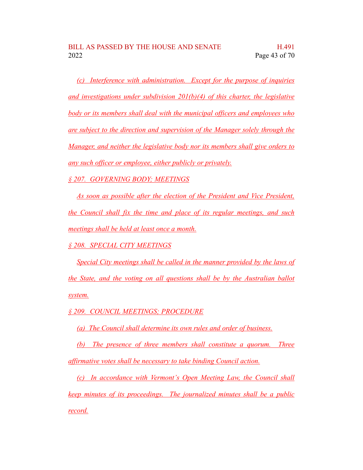*(c) Interference with administration. Except for the purpose of inquiries and investigations under subdivision 201(b)(4) of this charter, the legislative body or its members shall deal with the municipal officers and employees who are subject to the direction and supervision of the Manager solely through the Manager, and neither the legislative body nor its members shall give orders to any such officer or employee, either publicly or privately.*

*§ 207. GOVERNING BODY; MEETINGS*

*As soon as possible after the election of the President and Vice President, the Council shall fix the time and place of its regular meetings, and such meetings shall be held at least once a month.*

*§ 208. SPECIAL CITY MEETINGS*

*Special City meetings shall be called in the manner provided by the laws of the State, and the voting on all questions shall be by the Australian ballot system.*

*§ 209. COUNCIL MEETINGS; PROCEDURE*

*(a) The Council shall determine its own rules and order of business.*

*(b) The presence of three members shall constitute a quorum. Three affirmative votes shall be necessary to take binding Council action.*

*(c) In accordance with Vermont's Open Meeting Law, the Council shall keep minutes of its proceedings. The journalized minutes shall be a public record.*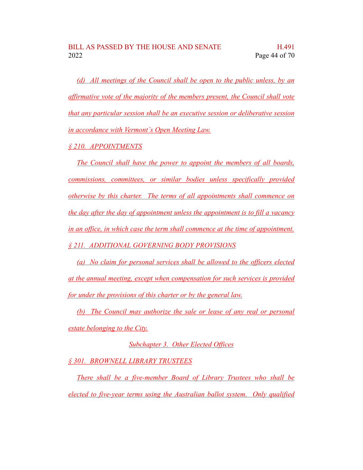*(d) All meetings of the Council shall be open to the public unless, by an affirmative vote of the majority of the members present, the Council shall vote that any particular session shall be an executive session or deliberative session in accordance with Vermont's Open Meeting Law.*

*§ 210. APPOINTMENTS*

*The Council shall have the power to appoint the members of all boards, commissions, committees, or similar bodies unless specifically provided otherwise by this charter. The terms of all appointments shall commence on the day after the day of appointment unless the appointment is to fill a vacancy in an office, in which case the term shall commence at the time of appointment. § 211. ADDITIONAL GOVERNING BODY PROVISIONS*

*(a) No claim for personal services shall be allowed to the officers elected at the annual meeting, except when compensation for such services is provided for under the provisions of this charter or by the general law.*

*(b) The Council may authorize the sale or lease of any real or personal estate belonging to the City.*

*Subchapter 3. Other Elected Offices*

*§ 301. BROWNELL LIBRARY TRUSTEES*

*There shall be a five-member Board of Library Trustees who shall be elected to five-year terms using the Australian ballot system. Only qualified*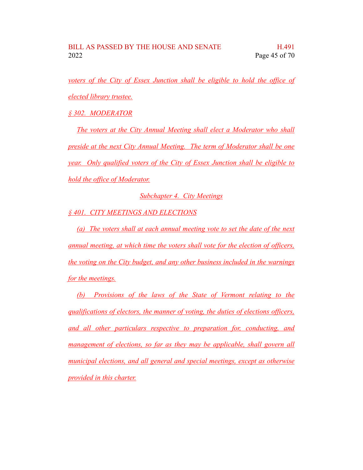*voters of the City of Essex Junction shall be eligible to hold the office of elected library trustee.*

*§ 302. MODERATOR*

*The voters at the City Annual Meeting shall elect a Moderator who shall preside at the next City Annual Meeting. The term of Moderator shall be one year. Only qualified voters of the City of Essex Junction shall be eligible to hold the office of Moderator.*

*Subchapter 4. City Meetings*

*§ 401. CITY MEETINGS AND ELECTIONS*

*(a) The voters shall at each annual meeting vote to set the date of the next annual meeting, at which time the voters shall vote for the election of officers, the voting on the City budget, and any other business included in the warnings for the meetings.*

*(b) Provisions of the laws of the State of Vermont relating to the qualifications of electors, the manner of voting, the duties of elections officers, and all other particulars respective to preparation for, conducting, and management of elections, so far as they may be applicable, shall govern all municipal elections, and all general and special meetings, except as otherwise provided in this charter.*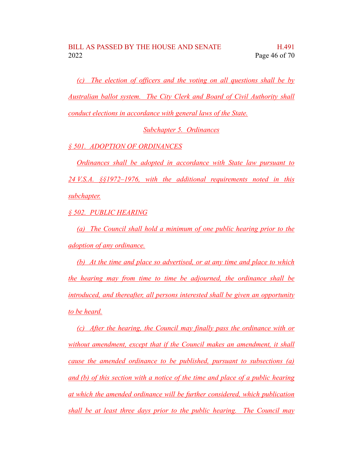*(c) The election of officers and the voting on all questions shall be by Australian ballot system. The City Clerk and Board of Civil Authority shall conduct elections in accordance with general laws of the State.*

*Subchapter 5. Ordinances*

*§ 501. ADOPTION OF ORDINANCES*

*Ordinances shall be adopted in accordance with State law pursuant to 24 V.S.A. §§1972–1976, with the additional requirements noted in this subchapter.*

*§ 502. PUBLIC HEARING*

*(a) The Council shall hold a minimum of one public hearing prior to the adoption of any ordinance.*

*(b) At the time and place so advertised, or at any time and place to which the hearing may from time to time be adjourned, the ordinance shall be introduced, and thereafter, all persons interested shall be given an opportunity to be heard.*

*(c) After the hearing, the Council may finally pass the ordinance with or without amendment, except that if the Council makes an amendment, it shall cause the amended ordinance to be published, pursuant to subsections (a) and (b) of this section with a notice of the time and place of a public hearing at which the amended ordinance will be further considered, which publication shall be at least three days prior to the public hearing. The Council may*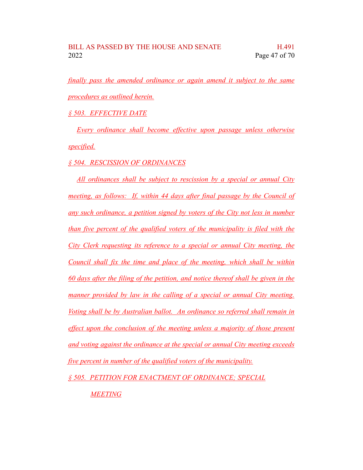*finally pass the amended ordinance or again amend it subject to the same procedures as outlined herein.*

*§ 503. EFFECTIVE DATE*

*Every ordinance shall become effective upon passage unless otherwise specified.*

*§ 504. RESCISSION OF ORDINANCES*

*All ordinances shall be subject to rescission by a special or annual City meeting, as follows: If, within 44 days after final passage by the Council of any such ordinance, a petition signed by voters of the City not less in number than five percent of the qualified voters of the municipality is filed with the City Clerk requesting its reference to a special or annual City meeting, the Council shall fix the time and place of the meeting, which shall be within 60 days after the filing of the petition, and notice thereof shall be given in the manner provided by law in the calling of a special or annual City meeting. Voting shall be by Australian ballot. An ordinance so referred shall remain in effect upon the conclusion of the meeting unless a majority of those present and voting against the ordinance at the special or annual City meeting exceeds five percent in number of the qualified voters of the municipality.*

*§ 505. PETITION FOR ENACTMENT OF ORDINANCE; SPECIAL*

*MEETING*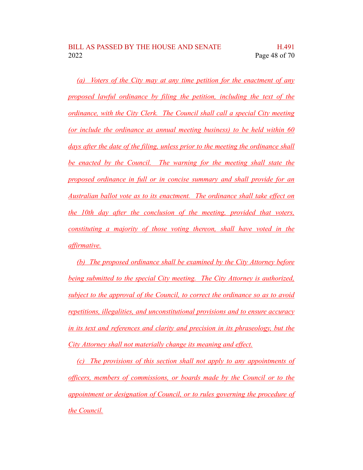*(a) Voters of the City may at any time petition for the enactment of any proposed lawful ordinance by filing the petition, including the text of the ordinance, with the City Clerk. The Council shall call a special City meeting (or include the ordinance as annual meeting business) to be held within 60 days after the date of the filing, unless prior to the meeting the ordinance shall be enacted by the Council. The warning for the meeting shall state the proposed ordinance in full or in concise summary and shall provide for an Australian ballot vote as to its enactment. The ordinance shall take effect on the 10th day after the conclusion of the meeting, provided that voters, constituting a majority of those voting thereon, shall have voted in the affirmative.*

*(b) The proposed ordinance shall be examined by the City Attorney before being submitted to the special City meeting. The City Attorney is authorized, subject to the approval of the Council, to correct the ordinance so as to avoid repetitions, illegalities, and unconstitutional provisions and to ensure accuracy in its text and references and clarity and precision in its phraseology, but the City Attorney shall not materially change its meaning and effect.*

*(c) The provisions of this section shall not apply to any appointments of officers, members of commissions, or boards made by the Council or to the appointment or designation of Council, or to rules governing the procedure of the Council.*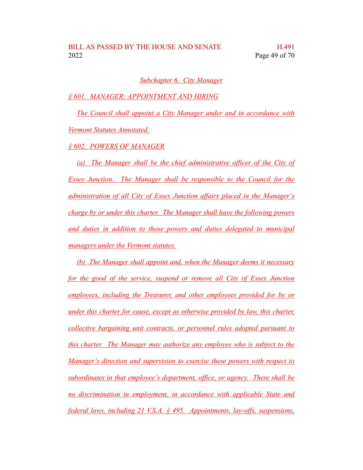#### *Subchapter 6. City Manager*

*§ 601. MANAGER; APPOINTMENT AND HIRING*

*The Council shall appoint a City Manager under and in accordance with Vermont Statutes Annotated.*

*§ 602. POWERS OF MANAGER*

*(a) The Manager shall be the chief administrative officer of the City of Essex Junction. The Manager shall be responsible to the Council for the administration of all City of Essex Junction affairs placed in the Manager's charge by or under this charter. The Manager shall have the following powers and duties in addition to those powers and duties delegated to municipal managers under the Vermont statutes.*

*(b) The Manager shall appoint and, when the Manager deems it necessary for the good of the service, suspend or remove all City of Essex Junction employees, including the Treasurer, and other employees provided for by or under this charter for cause, except as otherwise provided by law, this charter, collective bargaining unit contracts, or personnel rules adopted pursuant to this charter. The Manager may authorize any employee who is subject to the Manager's direction and supervision to exercise these powers with respect to subordinates in that employee's department, office, or agency. There shall be no discrimination in employment, in accordance with applicable State and federal laws, including 21 V.S.A. § 495. Appointments, lay-offs, suspensions,*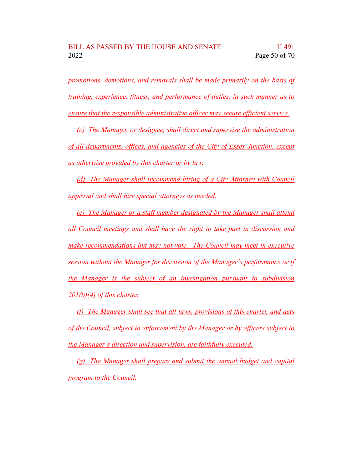*promotions, demotions, and removals shall be made primarily on the basis of training, experience, fitness, and performance of duties, in such manner as to ensure that the responsible administrative officer may secure efficient service.*

*(c) The Manager, or designee, shall direct and supervise the administration of all departments, offices, and agencies of the City of Essex Junction, except as otherwise provided by this charter or by law.*

*(d) The Manager shall recommend hiring of a City Attorney with Council approval and shall hire special attorneys as needed.*

*(e) The Manager or a staff member designated by the Manager shall attend all Council meetings and shall have the right to take part in discussion and make recommendations but may not vote. The Council may meet in executive session without the Manager for discussion of the Manager's performance or if the Manager is the subject of an investigation pursuant to subdivision 201(b)(4) of this charter.*

*(f) The Manager shall see that all laws, provisions of this charter, and acts of the Council, subject to enforcement by the Manager or by officers subject to the Manager's direction and supervision, are faithfully executed.*

*(g) The Manager shall prepare and submit the annual budget and capital program to the Council.*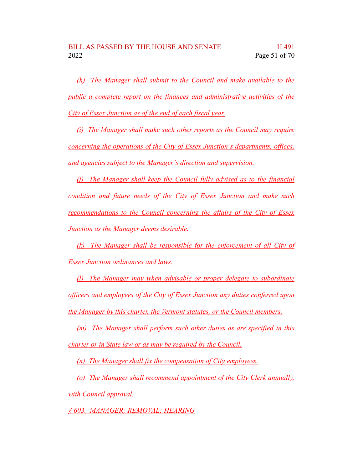*(h) The Manager shall submit to the Council and make available to the public a complete report on the finances and administrative activities of the City of Essex Junction as of the end of each fiscal year.*

*(i) The Manager shall make such other reports as the Council may require concerning the operations of the City of Essex Junction's departments, offices, and agencies subject to the Manager's direction and supervision.*

*(j) The Manager shall keep the Council fully advised as to the financial condition and future needs of the City of Essex Junction and make such recommendations to the Council concerning the affairs of the City of Essex Junction as the Manager deems desirable.*

*(k) The Manager shall be responsible for the enforcement of all City of Essex Junction ordinances and laws.*

*(l) The Manager may when advisable or proper delegate to subordinate officers and employees of the City of Essex Junction any duties conferred upon the Manager by this charter, the Vermont statutes, or the Council members.*

*(m) The Manager shall perform such other duties as are specified in this charter or in State law or as may be required by the Council.*

*(n) The Manager shall fix the compensation of City employees.*

*(o) The Manager shall recommend appointment of the City Clerk annually, with Council approval.*

*§ 603. MANAGER; REMOVAL; HEARING*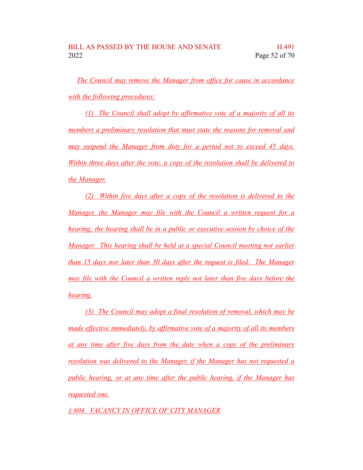*The Council may remove the Manager from office for cause in accordance with the following procedures:*

*(1) The Council shall adopt by affirmative vote of a majority of all its members a preliminary resolution that must state the reasons for removal and may suspend the Manager from duty for a period not to exceed 45 days. Within three days after the vote, a copy of the resolution shall be delivered to the Manager.*

*(2) Within five days after a copy of the resolution is delivered to the Manager, the Manager may file with the Council a written request for a hearing; the hearing shall be in a public or executive session by choice of the Manager. This hearing shall be held at a special Council meeting not earlier than 15 days nor later than 30 days after the request is filed. The Manager may file with the Council a written reply not later than five days before the hearing.*

*(3) The Council may adopt a final resolution of removal, which may be made effective immediately, by affirmative vote of a majority of all its members at any time after five days from the date when a copy of the preliminary resolution was delivered to the Manager, if the Manager has not requested a public hearing, or at any time after the public hearing, if the Manager has requested one.*

*§ 604. VACANCY IN OFFICE OF CITY MANAGER*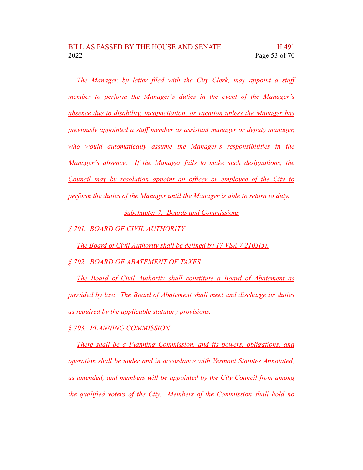*The Manager, by letter filed with the City Clerk, may appoint a staff member to perform the Manager's duties in the event of the Manager's absence due to disability, incapacitation, or vacation unless the Manager has previously appointed a staff member as assistant manager or deputy manager, who would automatically assume the Manager's responsibilities in the Manager's absence. If the Manager fails to make such designations, the Council may by resolution appoint an officer or employee of the City to perform the duties of the Manager until the Manager is able to return to duty. Subchapter 7. Boards and Commissions*

*§ 701. BOARD OF CIVIL AUTHORITY*

*The Board of Civil Authority shall be defined by 17 VSA § 2103(5).*

*§ 702. BOARD OF ABATEMENT OF TAXES*

*The Board of Civil Authority shall constitute a Board of Abatement as provided by law. The Board of Abatement shall meet and discharge its duties as required by the applicable statutory provisions.*

*§ 703. PLANNING COMMISSION*

*There shall be a Planning Commission, and its powers, obligations, and operation shall be under and in accordance with Vermont Statutes Annotated, as amended, and members will be appointed by the City Council from among the qualified voters of the City. Members of the Commission shall hold no*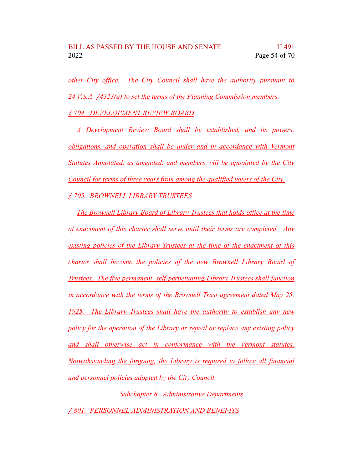*other City office. The City Council shall have the authority pursuant to 24 V.S.A. §4323(a) to set the terms of the Planning Commission members. § 704. DEVELOPMENT REVIEW BOARD*

*A Development Review Board shall be established, and its powers, obligations, and operation shall be under and in accordance with Vermont Statutes Annotated, as amended, and members will be appointed by the City Council for terms of three years from among the qualified voters of the City. § 705. BROWNELL LIBRARY TRUSTEES*

*The Brownell Library Board of Library Trustees that holds office at the time of enactment of this charter shall serve until their terms are completed. Any existing policies of the Library Trustees at the time of the enactment of this charter shall become the policies of the new Brownell Library Board of Trustees. The five permanent, self-perpetuating Library Trustees shall function in accordance with the terms of the Brownell Trust agreement dated May 25, 1925. The Library Trustees shall have the authority to establish any new policy for the operation of the Library or repeal or replace any existing policy and shall otherwise act in conformance with the Vermont statutes. Notwithstanding the forgoing, the Library is required to follow all financial and personnel policies adopted by the City Council.*

*Subchapter 8. Administrative Departments § 801. PERSONNEL ADMINISTRATION AND BENEFITS*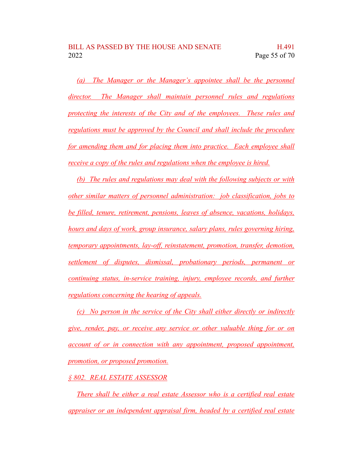*(a) The Manager or the Manager's appointee shall be the personnel director. The Manager shall maintain personnel rules and regulations protecting the interests of the City and of the employees. These rules and regulations must be approved by the Council and shall include the procedure for amending them and for placing them into practice. Each employee shall receive a copy of the rules and regulations when the employee is hired.*

*(b) The rules and regulations may deal with the following subjects or with other similar matters of personnel administration: job classification, jobs to be filled, tenure, retirement, pensions, leaves of absence, vacations, holidays, hours and days of work, group insurance, salary plans, rules governing hiring, temporary appointments, lay-off, reinstatement, promotion, transfer, demotion, settlement of disputes, dismissal, probationary periods, permanent or continuing status, in-service training, injury, employee records, and further regulations concerning the hearing of appeals.*

*(c) No person in the service of the City shall either directly or indirectly give, render, pay, or receive any service or other valuable thing for or on account of or in connection with any appointment, proposed appointment, promotion, or proposed promotion.*

#### *§ 802. REAL ESTATE ASSESSOR*

*There shall be either a real estate Assessor who is a certified real estate appraiser or an independent appraisal firm, headed by a certified real estate*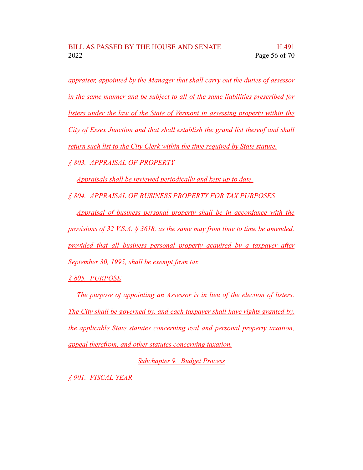*appraiser, appointed by the Manager that shall carry out the duties of assessor in the same manner and be subject to all of the same liabilities prescribed for listers under the law of the State of Vermont in assessing property within the City of Essex Junction and that shall establish the grand list thereof and shall return such list to the City Clerk within the time required by State statute. § 803. APPRAISAL OF PROPERTY*

*Appraisals shall be reviewed periodically and kept up to date.*

*§ 804. APPRAISAL OF BUSINESS PROPERTY FOR TAX PURPOSES*

*Appraisal of business personal property shall be in accordance with the provisions of 32 V.S.A. § 3618, as the same may from time to time be amended, provided that all business personal property acquired by a taxpayer after September 30, 1995, shall be exempt from tax.*

*§ 805. PURPOSE*

*The purpose of appointing an Assessor is in lieu of the election of listers. The City shall be governed by, and each taxpayer shall have rights granted by, the applicable State statutes concerning real and personal property taxation, appeal therefrom, and other statutes concerning taxation.*

*Subchapter 9. Budget Process*

*§ 901. FISCAL YEAR*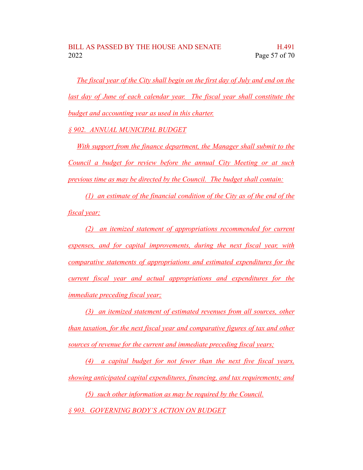*The fiscal year of the City shall begin on the first day of July and end on the last day of June of each calendar year. The fiscal year shall constitute the budget and accounting year as used in this charter.*

*§ 902. ANNUAL MUNICIPAL BUDGET*

*With support from the finance department, the Manager shall submit to the Council a budget for review before the annual City Meeting or at such previous time as may be directed by the Council. The budget shall contain:*

*(1) an estimate of the financial condition of the City as of the end of the fiscal year;*

*(2) an itemized statement of appropriations recommended for current expenses, and for capital improvements, during the next fiscal year, with comparative statements of appropriations and estimated expenditures for the current fiscal year and actual appropriations and expenditures for the immediate preceding fiscal year;*

*(3) an itemized statement of estimated revenues from all sources, other than taxation, for the next fiscal year and comparative figures of tax and other sources of revenue for the current and immediate preceding fiscal years;*

*(4) a capital budget for not fewer than the next five fiscal years, showing anticipated capital expenditures, financing, and tax requirements; and*

*(5) such other information as may be required by the Council. § 903. GOVERNING BODY'S ACTION ON BUDGET*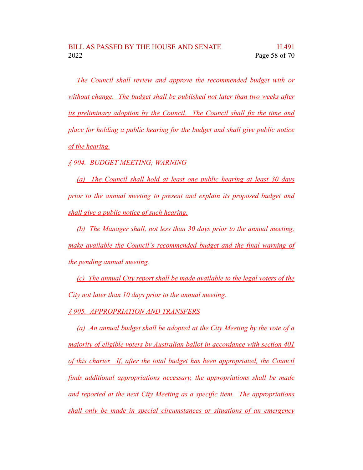*The Council shall review and approve the recommended budget with or without change. The budget shall be published not later than two weeks after its preliminary adoption by the Council. The Council shall fix the time and place for holding a public hearing for the budget and shall give public notice of the hearing.*

*§ 904. BUDGET MEETING; WARNING*

*(a) The Council shall hold at least one public hearing at least 30 days prior to the annual meeting to present and explain its proposed budget and shall give a public notice of such hearing.*

*(b) The Manager shall, not less than 30 days prior to the annual meeting, make available the Council's recommended budget and the final warning of the pending annual meeting.*

*(c) The annual City report shall be made available to the legal voters of the City not later than 10 days prior to the annual meeting.*

*§ 905. APPROPRIATION AND TRANSFERS*

*(a) An annual budget shall be adopted at the City Meeting by the vote of a majority of eligible voters by Australian ballot in accordance with section 401 of this charter. If, after the total budget has been appropriated, the Council finds additional appropriations necessary, the appropriations shall be made and reported at the next City Meeting as a specific item. The appropriations shall only be made in special circumstances or situations of an emergency*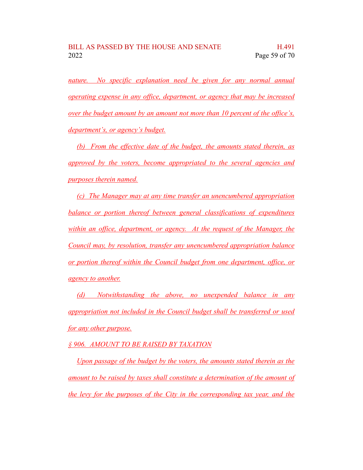*nature. No specific explanation need be given for any normal annual operating expense in any office, department, or agency that may be increased over the budget amount by an amount not more than 10 percent of the office's, department's, or agency's budget.*

*(b) From the effective date of the budget, the amounts stated therein, as approved by the voters, become appropriated to the several agencies and purposes therein named.*

*(c) The Manager may at any time transfer an unencumbered appropriation balance or portion thereof between general classifications of expenditures within an office, department, or agency. At the request of the Manager, the Council may, by resolution, transfer any unencumbered appropriation balance or portion thereof within the Council budget from one department, office, or agency to another.*

*(d) Notwithstanding the above, no unexpended balance in any appropriation not included in the Council budget shall be transferred or used for any other purpose.*

*§ 906. AMOUNT TO BE RAISED BY TAXATION*

*Upon passage of the budget by the voters, the amounts stated therein as the amount to be raised by taxes shall constitute a determination of the amount of the levy for the purposes of the City in the corresponding tax year, and the*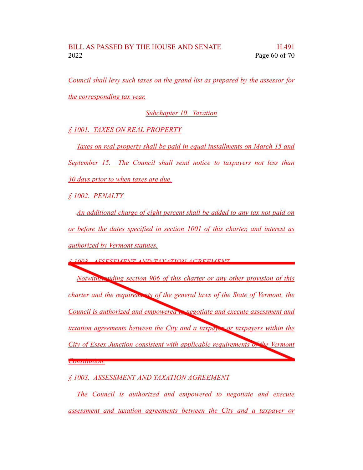*Council shall levy such taxes on the grand list as prepared by the assessor for the corresponding tax year.*

*Subchapter 10. Taxation*

*§ 1001. TAXES ON REAL PROPERTY*

*Taxes on real property shall be paid in equal installments on March 15 and September 15. The Council shall send notice to taxpayers not less than 30 days prior to when taxes are due.*

*§ 1002. PENALTY*

*An additional charge of eight percent shall be added to any tax not paid on or before the dates specified in section 1001 of this charter, and interest as authorized by Vermont statutes.*

*§ 1003. ASSESSMENT AND TAXATION AGREEMENT*

*Notwithstanding section 906 of this charter or any other provision of this charter and the requirements of the general laws of the State of Vermont, the Council is authorized and empowered to negotiate and execute assessment and taxation agreements between the City and a taxpayer or taxpayers within the City of Essex Junction consistent with applicable requirements of the Vermont Constitution.*

*§ 1003. ASSESSMENT AND TAXATION AGREEMENT*

*The Council is authorized and empowered to negotiate and execute assessment and taxation agreements between the City and a taxpayer or*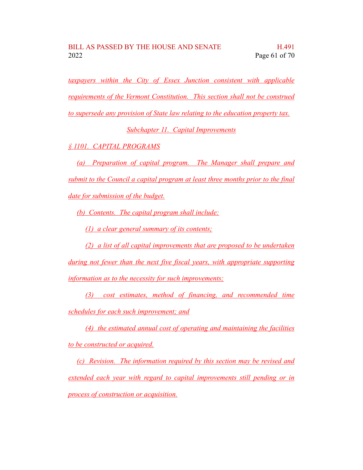*taxpayers within the City of Essex Junction consistent with applicable requirements of the Vermont Constitution. This section shall not be construed to supersede any provision of State law relating to the education property tax.*

*Subchapter 11. Capital Improvements*

*§ 1101. CAPITAL PROGRAMS*

*(a) Preparation of capital program. The Manager shall prepare and submit to the Council a capital program at least three months prior to the final date for submission of the budget.*

*(b) Contents. The capital program shall include:*

*(1) a clear general summary of its contents;*

*(2) a list of all capital improvements that are proposed to be undertaken*

*during not fewer than the next five fiscal years, with appropriate supporting information as to the necessity for such improvements;*

*(3) cost estimates, method of financing, and recommended time schedules for each such improvement; and*

*(4) the estimated annual cost of operating and maintaining the facilities to be constructed or acquired.*

*(c) Revision. The information required by this section may be revised and extended each year with regard to capital improvements still pending or in process of construction or acquisition.*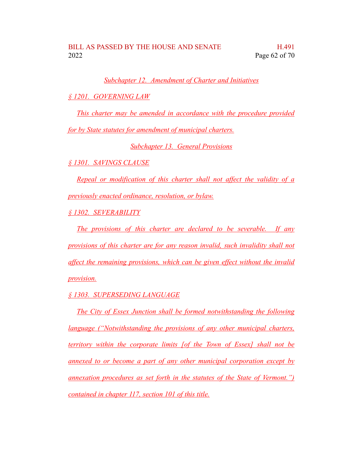*Subchapter 12. Amendment of Charter and Initiatives*

*§ 1201. GOVERNING LAW*

*This charter may be amended in accordance with the procedure provided*

*for by State statutes for amendment of municipal charters.*

*Subchapter 13. General Provisions*

*§ 1301. SAVINGS CLAUSE*

*Repeal or modification of this charter shall not affect the validity of a previously enacted ordinance, resolution, or bylaw.*

*§ 1302. SEVERABILITY*

*The provisions of this charter are declared to be severable. If any provisions of this charter are for any reason invalid, such invalidity shall not affect the remaining provisions, which can be given effect without the invalid provision.*

*§ 1303. SUPERSEDING LANGUAGE*

*The City of Essex Junction shall be formed notwithstanding the following language ("Notwithstanding the provisions of any other municipal charters, territory within the corporate limits [of the Town of Essex] shall not be annexed to or become a part of any other municipal corporation except by annexation procedures as set forth in the statutes of the State of Vermont.") contained in chapter 117, section 101 of this title.*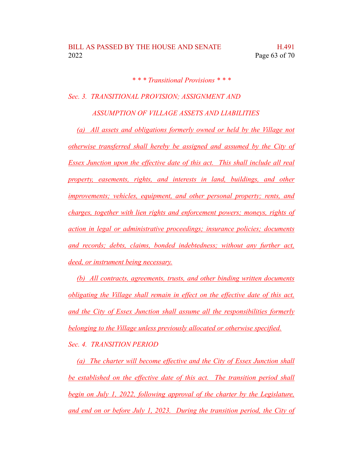*\* \* \* Transitional Provisions \* \* \**

*Sec. 3. TRANSITIONAL PROVISION; ASSIGNMENT AND*

*ASSUMPTION OF VILLAGE ASSETS AND LIABILITIES*

*(a) All assets and obligations formerly owned or held by the Village not otherwise transferred shall hereby be assigned and assumed by the City of Essex Junction upon the effective date of this act. This shall include all real property, easements, rights, and interests in land, buildings, and other improvements; vehicles, equipment, and other personal property; rents, and charges, together with lien rights and enforcement powers; moneys, rights of action in legal or administrative proceedings; insurance policies; documents and records; debts, claims, bonded indebtedness; without any further act, deed, or instrument being necessary.*

*(b) All contracts, agreements, trusts, and other binding written documents obligating the Village shall remain in effect on the effective date of this act, and the City of Essex Junction shall assume all the responsibilities formerly belonging to the Village unless previously allocated or otherwise specified. Sec. 4. TRANSITION PERIOD*

*(a) The charter will become effective and the City of Essex Junction shall be established on the effective date of this act. The transition period shall begin on July 1, 2022, following approval of the charter by the Legislature, and end on or before July 1, 2023. During the transition period, the City of*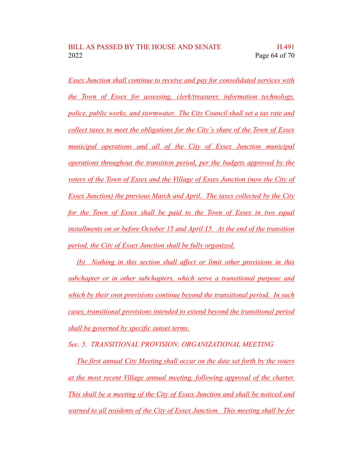*Essex Junction shall continue to receive and pay for consolidated services with the Town of Essex for assessing, clerk/treasurer, information technology, police, public works, and stormwater. The City Council shall set a tax rate and collect taxes to meet the obligations for the City's share of the Town of Essex municipal operations and all of the City of Essex Junction municipal operations throughout the transition period, per the budgets approved by the voters of the Town of Essex and the Village of Essex Junction (now the City of Essex Junction) the previous March and April. The taxes collected by the City for the Town of Essex shall be paid to the Town of Essex in two equal installments on or before October 15 and April 15. At the end of the transition period, the City of Essex Junction shall be fully organized.*

*(b) Nothing in this section shall affect or limit other provisions in this subchapter or in other subchapters, which serve a transitional purpose and which by their own provisions continue beyond the transitional period. In such cases, transitional provisions intended to extend beyond the transitional period shall be governed by specific sunset terms.*

*Sec. 5. TRANSITIONAL PROVISION; ORGANIZATIONAL MEETING*

*The first annual City Meeting shall occur on the date set forth by the voters at the most recent Village annual meeting, following approval of the charter. This shall be a meeting of the City of Essex Junction and shall be noticed and warned to all residents of the City of Essex Junction. This meeting shall be for*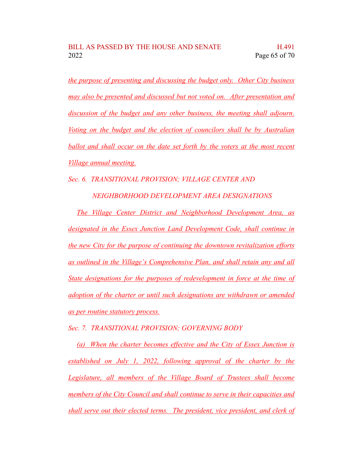*the purpose of presenting and discussing the budget only. Other City business may also be presented and discussed but not voted on. After presentation and discussion of the budget and any other business, the meeting shall adjourn. Voting on the budget and the election of councilors shall be by Australian ballot and shall occur on the date set forth by the voters at the most recent Village annual meeting.*

*Sec. 6. TRANSITIONAL PROVISION; VILLAGE CENTER AND*

*NEIGHBORHOOD DEVELOPMENT AREA DESIGNATIONS*

*The Village Center District and Neighborhood Development Area, as designated in the Essex Junction Land Development Code, shall continue in the new City for the purpose of continuing the downtown revitalization efforts as outlined in the Village's Comprehensive Plan, and shall retain any and all State designations for the purposes of redevelopment in force at the time of adoption of the charter or until such designations are withdrawn or amended as per routine statutory process.*

*Sec. 7. TRANSITIONAL PROVISION; GOVERNING BODY*

*(a) When the charter becomes effective and the City of Essex Junction is established on July 1, 2022, following approval of the charter by the Legislature, all members of the Village Board of Trustees shall become members of the City Council and shall continue to serve in their capacities and shall serve out their elected terms. The president, vice president, and clerk of*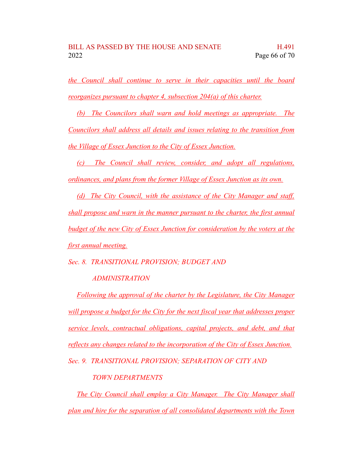*the Council shall continue to serve in their capacities until the board reorganizes pursuant to chapter 4, subsection 204(a) of this charter.*

*(b) The Councilors shall warn and hold meetings as appropriate. The Councilors shall address all details and issues relating to the transition from the Village of Essex Junction to the City of Essex Junction.*

*(c) The Council shall review, consider, and adopt all regulations, ordinances, and plans from the former Village of Essex Junction as its own.*

*(d) The City Council, with the assistance of the City Manager and staff, shall propose and warn in the manner pursuant to the charter, the first annual budget of the new City of Essex Junction for consideration by the voters at the first annual meeting.*

*Sec. 8. TRANSITIONAL PROVISION; BUDGET AND*

## *ADMINISTRATION*

*Following the approval of the charter by the Legislature, the City Manager will propose a budget for the City for the next fiscal year that addresses proper service levels, contractual obligations, capital projects, and debt, and that reflects any changes related to the incorporation of the City of Essex Junction.*

*Sec. 9. TRANSITIONAL PROVISION; SEPARATION OF CITY AND*

# *TOWN DEPARTMENTS*

*The City Council shall employ a City Manager. The City Manager shall plan and hire for the separation of all consolidated departments with the Town*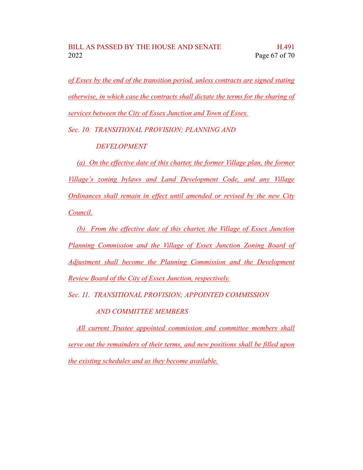*of Essex by the end of the transition period, unless contracts are signed stating otherwise, in which case the contracts shall dictate the terms for the sharing of services between the City of Essex Junction and Town of Essex.*

*Sec. 10. TRANSITIONAL PROVISION; PLANNING AND*

*DEVELOPMENT*

*(a) On the effective date of this charter, the former Village plan, the former Village's zoning bylaws and Land Development Code, and any Village Ordinances shall remain in effect until amended or revised by the new City Council.*

*(b) From the effective date of this charter, the Village of Essex Junction Planning Commission and the Village of Essex Junction Zoning Board of Adjustment shall become the Planning Commission and the Development Review Board of the City of Essex Junction, respectively.*

*Sec. 11. TRANSITIONAL PROVISION; APPOINTED COMMISSION*

*AND COMMITTEE MEMBERS*

*All current Trustee appointed commission and committee members shall serve out the remainders of their terms, and new positions shall be filled upon the existing schedules and as they become available.*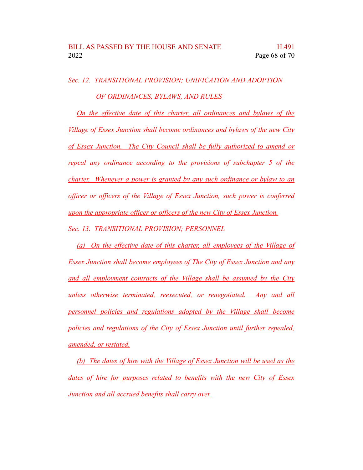*Sec. 12. TRANSITIONAL PROVISION; UNIFICATION AND ADOPTION OF ORDINANCES, BYLAWS, AND RULES*

*On the effective date of this charter, all ordinances and bylaws of the Village of Essex Junction shall become ordinances and bylaws of the new City of Essex Junction. The City Council shall be fully authorized to amend or repeal any ordinance according to the provisions of subchapter 5 of the charter. Whenever a power is granted by any such ordinance or bylaw to an officer or officers of the Village of Essex Junction, such power is conferred upon the appropriate officer or officers of the new City of Essex Junction. Sec. 13. TRANSITIONAL PROVISION; PERSONNEL*

*(a) On the effective date of this charter, all employees of the Village of Essex Junction shall become employees of The City of Essex Junction and any and all employment contracts of the Village shall be assumed by the City unless otherwise terminated, reexecuted, or renegotiated. Any and all personnel policies and regulations adopted by the Village shall become policies and regulations of the City of Essex Junction until further repealed, amended, or restated.*

*(b) The dates of hire with the Village of Essex Junction will be used as the dates of hire for purposes related to benefits with the new City of Essex Junction and all accrued benefits shall carry over.*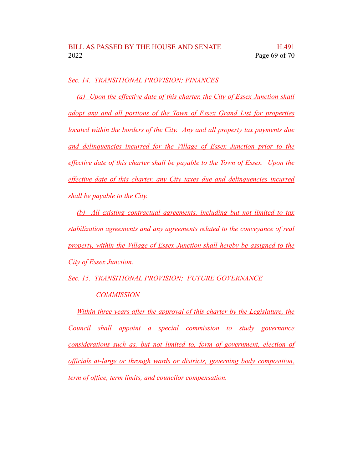*Sec. 14. TRANSITIONAL PROVISION; FINANCES*

*(a) Upon the effective date of this charter, the City of Essex Junction shall adopt any and all portions of the Town of Essex Grand List for properties located within the borders of the City. Any and all property tax payments due and delinquencies incurred for the Village of Essex Junction prior to the effective date of this charter shall be payable to the Town of Essex. Upon the effective date of this charter, any City taxes due and delinquencies incurred shall be payable to the City.*

*(b) All existing contractual agreements, including but not limited to tax stabilization agreements and any agreements related to the conveyance of real property, within the Village of Essex Junction shall hereby be assigned to the City of Essex Junction.*

*Sec. 15. TRANSITIONAL PROVISION; FUTURE GOVERNANCE*

### *COMMISSION*

*Within three years after the approval of this charter by the Legislature, the Council shall appoint a special commission to study governance considerations such as, but not limited to, form of government, election of officials at-large or through wards or districts, governing body composition, term of office, term limits, and councilor compensation.*